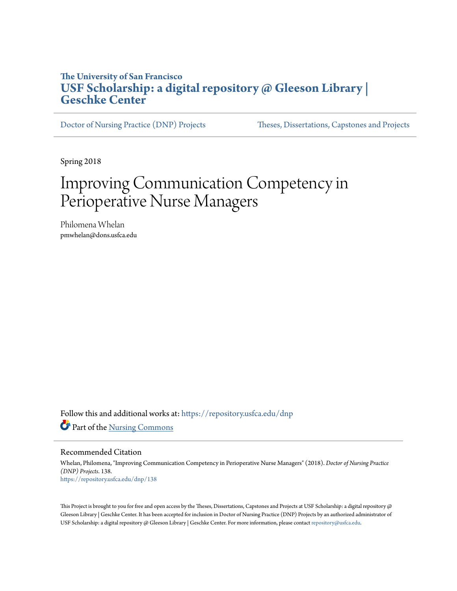## **The University of San Francisco [USF Scholarship: a digital repository @ Gleeson Library |](https://repository.usfca.edu?utm_source=repository.usfca.edu%2Fdnp%2F138&utm_medium=PDF&utm_campaign=PDFCoverPages) [Geschke Center](https://repository.usfca.edu?utm_source=repository.usfca.edu%2Fdnp%2F138&utm_medium=PDF&utm_campaign=PDFCoverPages)**

[Doctor of Nursing Practice \(DNP\) Projects](https://repository.usfca.edu/dnp?utm_source=repository.usfca.edu%2Fdnp%2F138&utm_medium=PDF&utm_campaign=PDFCoverPages) [Theses, Dissertations, Capstones and Projects](https://repository.usfca.edu/etd?utm_source=repository.usfca.edu%2Fdnp%2F138&utm_medium=PDF&utm_campaign=PDFCoverPages)

Spring 2018

# Improving Communication Competency in Perioperative Nurse Managers

Philomena Whelan pmwhelan@dons.usfca.edu

Follow this and additional works at: [https://repository.usfca.edu/dnp](https://repository.usfca.edu/dnp?utm_source=repository.usfca.edu%2Fdnp%2F138&utm_medium=PDF&utm_campaign=PDFCoverPages) Part of the [Nursing Commons](http://network.bepress.com/hgg/discipline/718?utm_source=repository.usfca.edu%2Fdnp%2F138&utm_medium=PDF&utm_campaign=PDFCoverPages)

Recommended Citation

Whelan, Philomena, "Improving Communication Competency in Perioperative Nurse Managers" (2018). *Doctor of Nursing Practice (DNP) Projects*. 138. [https://repository.usfca.edu/dnp/138](https://repository.usfca.edu/dnp/138?utm_source=repository.usfca.edu%2Fdnp%2F138&utm_medium=PDF&utm_campaign=PDFCoverPages)

This Project is brought to you for free and open access by the Theses, Dissertations, Capstones and Projects at USF Scholarship: a digital repository @ Gleeson Library | Geschke Center. It has been accepted for inclusion in Doctor of Nursing Practice (DNP) Projects by an authorized administrator of USF Scholarship: a digital repository @ Gleeson Library | Geschke Center. For more information, please contact [repository@usfca.edu.](mailto:repository@usfca.edu)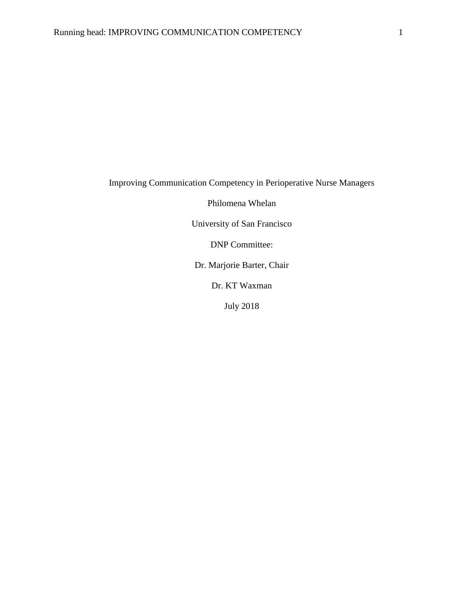Improving Communication Competency in Perioperative Nurse Managers

Philomena Whelan

University of San Francisco

DNP Committee:

Dr. Marjorie Barter, Chair

Dr. KT Waxman

July 2018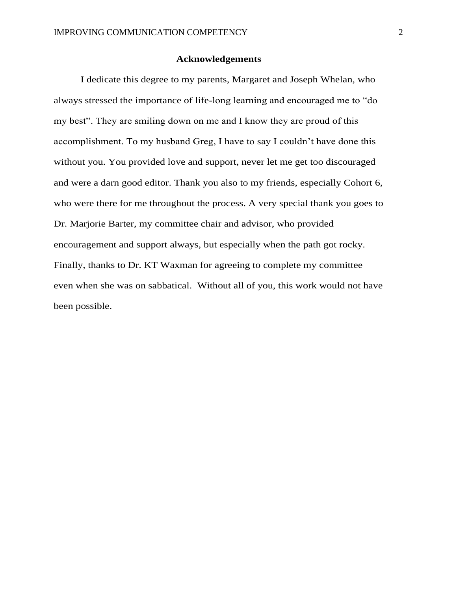### **Acknowledgements**

I dedicate this degree to my parents, Margaret and Joseph Whelan, who always stressed the importance of life-long learning and encouraged me to "do my best". They are smiling down on me and I know they are proud of this accomplishment. To my husband Greg, I have to say I couldn't have done this without you. You provided love and support, never let me get too discouraged and were a darn good editor. Thank you also to my friends, especially Cohort 6, who were there for me throughout the process. A very special thank you goes to Dr. Marjorie Barter, my committee chair and advisor, who provided encouragement and support always, but especially when the path got rocky. Finally, thanks to Dr. KT Waxman for agreeing to complete my committee even when she was on sabbatical. Without all of you, this work would not have been possible.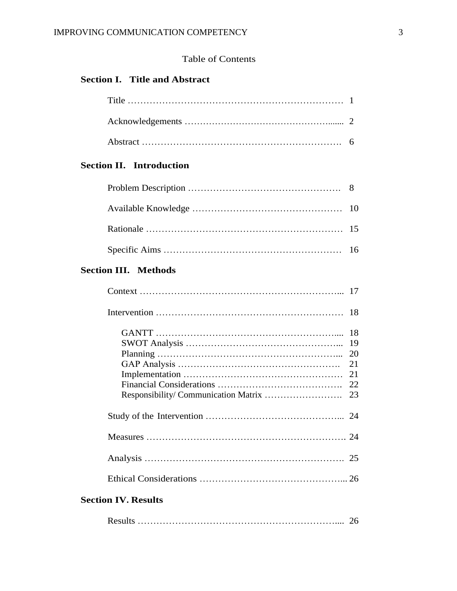## Table of Contents

## **Section I. Title and Abstract**

## **Section II. Introduction**

## **Section III. Methods**

|                            | 20<br>21<br>21 |
|----------------------------|----------------|
|                            |                |
|                            |                |
|                            |                |
|                            |                |
| <b>Section IV. Results</b> |                |

|--|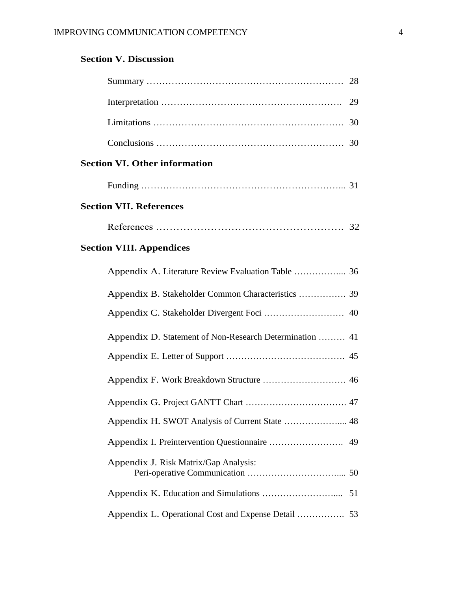## **Section V. Discussion**

|                                                         | 29 |
|---------------------------------------------------------|----|
|                                                         |    |
|                                                         |    |
| <b>Section VI. Other information</b>                    |    |
|                                                         |    |
| <b>Section VII. References</b>                          |    |
|                                                         |    |
| <b>Section VIII. Appendices</b>                         |    |
|                                                         |    |
| Appendix B. Stakeholder Common Characteristics  39      |    |
|                                                         |    |
| Appendix D. Statement of Non-Research Determination  41 |    |
|                                                         |    |
|                                                         |    |
|                                                         |    |
|                                                         |    |
|                                                         |    |
| Appendix J. Risk Matrix/Gap Analysis:                   |    |
|                                                         | 51 |
|                                                         |    |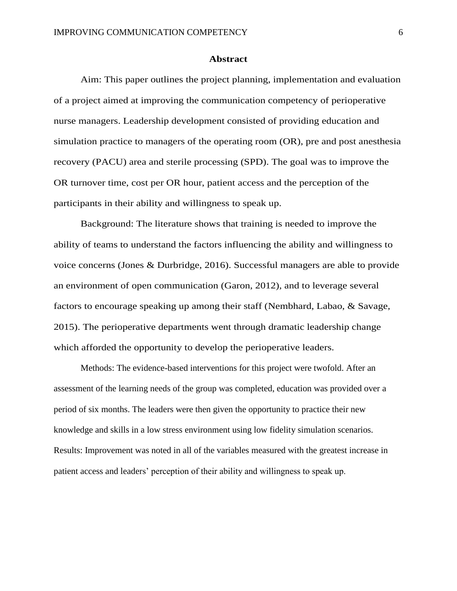### **Abstract**

Aim: This paper outlines the project planning, implementation and evaluation of a project aimed at improving the communication competency of perioperative nurse managers. Leadership development consisted of providing education and simulation practice to managers of the operating room (OR), pre and post anesthesia recovery (PACU) area and sterile processing (SPD). The goal was to improve the OR turnover time, cost per OR hour, patient access and the perception of the participants in their ability and willingness to speak up.

Background: The literature shows that training is needed to improve the ability of teams to understand the factors influencing the ability and willingness to voice concerns (Jones & Durbridge, 2016). Successful managers are able to provide an environment of open communication (Garon, 2012), and to leverage several factors to encourage speaking up among their staff (Nembhard, Labao, & Savage, 2015). The perioperative departments went through dramatic leadership change which afforded the opportunity to develop the perioperative leaders.

Methods: The evidence-based interventions for this project were twofold. After an assessment of the learning needs of the group was completed, education was provided over a period of six months. The leaders were then given the opportunity to practice their new knowledge and skills in a low stress environment using low fidelity simulation scenarios. Results: Improvement was noted in all of the variables measured with the greatest increase in patient access and leaders' perception of their ability and willingness to speak up.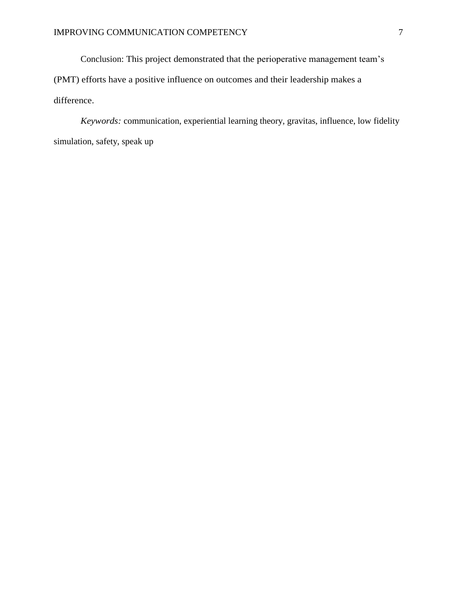Conclusion: This project demonstrated that the perioperative management team's (PMT) efforts have a positive influence on outcomes and their leadership makes a difference.

*Keywords:* communication, experiential learning theory, gravitas, influence, low fidelity simulation, safety, speak up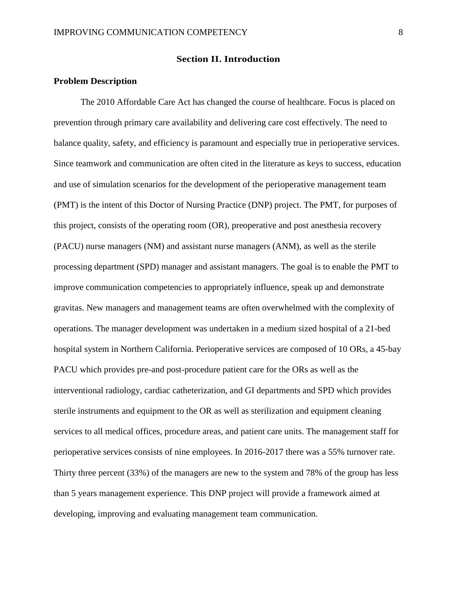### **Section II. Introduction**

### **Problem Description**

The 2010 Affordable Care Act has changed the course of healthcare. Focus is placed on prevention through primary care availability and delivering care cost effectively. The need to balance quality, safety, and efficiency is paramount and especially true in perioperative services. Since teamwork and communication are often cited in the literature as keys to success, education and use of simulation scenarios for the development of the perioperative management team (PMT) is the intent of this Doctor of Nursing Practice (DNP) project. The PMT, for purposes of this project, consists of the operating room (OR), preoperative and post anesthesia recovery (PACU) nurse managers (NM) and assistant nurse managers (ANM), as well as the sterile processing department (SPD) manager and assistant managers. The goal is to enable the PMT to improve communication competencies to appropriately influence, speak up and demonstrate gravitas. New managers and management teams are often overwhelmed with the complexity of operations. The manager development was undertaken in a medium sized hospital of a 21-bed hospital system in Northern California. Perioperative services are composed of 10 ORs, a 45-bay PACU which provides pre-and post-procedure patient care for the ORs as well as the interventional radiology, cardiac catheterization, and GI departments and SPD which provides sterile instruments and equipment to the OR as well as sterilization and equipment cleaning services to all medical offices, procedure areas, and patient care units. The management staff for perioperative services consists of nine employees. In 2016-2017 there was a 55% turnover rate. Thirty three percent (33%) of the managers are new to the system and 78% of the group has less than 5 years management experience. This DNP project will provide a framework aimed at developing, improving and evaluating management team communication.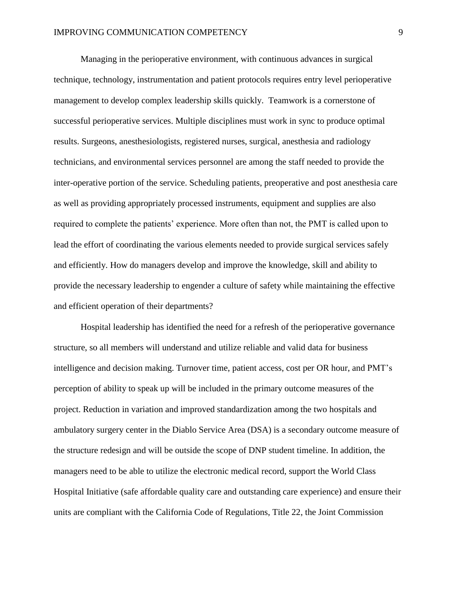Managing in the perioperative environment, with continuous advances in surgical technique, technology, instrumentation and patient protocols requires entry level perioperative management to develop complex leadership skills quickly. Teamwork is a cornerstone of successful perioperative services. Multiple disciplines must work in sync to produce optimal results. Surgeons, anesthesiologists, registered nurses, surgical, anesthesia and radiology technicians, and environmental services personnel are among the staff needed to provide the inter-operative portion of the service. Scheduling patients, preoperative and post anesthesia care as well as providing appropriately processed instruments, equipment and supplies are also required to complete the patients' experience. More often than not, the PMT is called upon to lead the effort of coordinating the various elements needed to provide surgical services safely and efficiently. How do managers develop and improve the knowledge, skill and ability to provide the necessary leadership to engender a culture of safety while maintaining the effective and efficient operation of their departments?

Hospital leadership has identified the need for a refresh of the perioperative governance structure, so all members will understand and utilize reliable and valid data for business intelligence and decision making. Turnover time, patient access, cost per OR hour, and PMT's perception of ability to speak up will be included in the primary outcome measures of the project. Reduction in variation and improved standardization among the two hospitals and ambulatory surgery center in the Diablo Service Area (DSA) is a secondary outcome measure of the structure redesign and will be outside the scope of DNP student timeline. In addition, the managers need to be able to utilize the electronic medical record, support the World Class Hospital Initiative (safe affordable quality care and outstanding care experience) and ensure their units are compliant with the California Code of Regulations, Title 22, the Joint Commission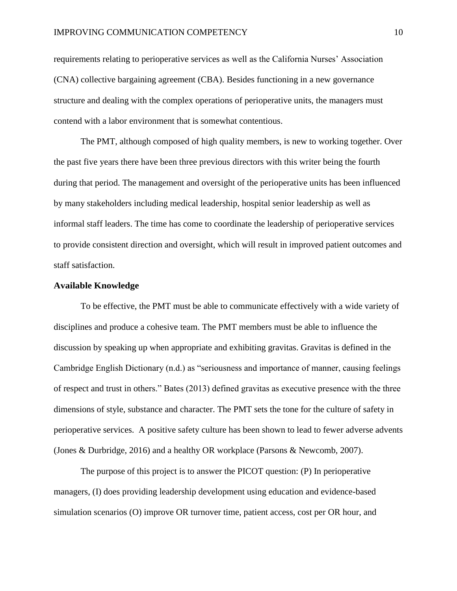requirements relating to perioperative services as well as the California Nurses' Association (CNA) collective bargaining agreement (CBA). Besides functioning in a new governance structure and dealing with the complex operations of perioperative units, the managers must contend with a labor environment that is somewhat contentious.

The PMT, although composed of high quality members, is new to working together. Over the past five years there have been three previous directors with this writer being the fourth during that period. The management and oversight of the perioperative units has been influenced by many stakeholders including medical leadership, hospital senior leadership as well as informal staff leaders. The time has come to coordinate the leadership of perioperative services to provide consistent direction and oversight, which will result in improved patient outcomes and staff satisfaction.

### **Available Knowledge**

To be effective, the PMT must be able to communicate effectively with a wide variety of disciplines and produce a cohesive team. The PMT members must be able to influence the discussion by speaking up when appropriate and exhibiting gravitas. Gravitas is defined in the Cambridge English Dictionary (n.d.) as "seriousness and importance of manner, causing feelings of respect and trust in others." Bates (2013) defined gravitas as executive presence with the three dimensions of style, substance and character. The PMT sets the tone for the culture of safety in perioperative services. A positive safety culture has been shown to lead to fewer adverse advents (Jones & Durbridge, 2016) and a healthy OR workplace (Parsons & Newcomb, 2007).

The purpose of this project is to answer the PICOT question: (P) In perioperative managers, (I) does providing leadership development using education and evidence-based simulation scenarios (O) improve OR turnover time, patient access, cost per OR hour, and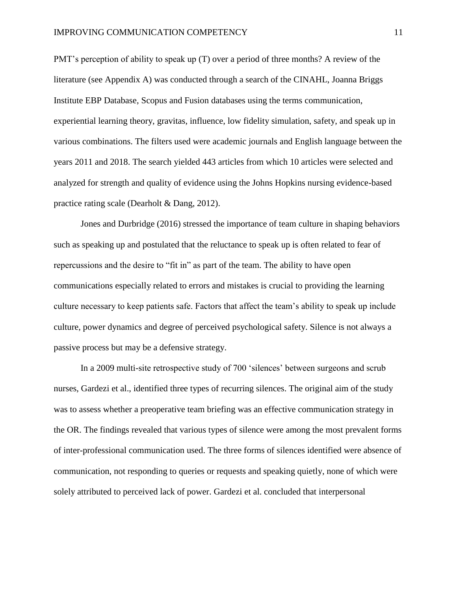PMT's perception of ability to speak up (T) over a period of three months? A review of the literature (see Appendix A) was conducted through a search of the CINAHL, Joanna Briggs Institute EBP Database, Scopus and Fusion databases using the terms communication, experiential learning theory, gravitas, influence, low fidelity simulation, safety, and speak up in various combinations. The filters used were academic journals and English language between the years 2011 and 2018. The search yielded 443 articles from which 10 articles were selected and analyzed for strength and quality of evidence using the Johns Hopkins nursing evidence-based practice rating scale (Dearholt & Dang, 2012).

Jones and Durbridge (2016) stressed the importance of team culture in shaping behaviors such as speaking up and postulated that the reluctance to speak up is often related to fear of repercussions and the desire to "fit in" as part of the team. The ability to have open communications especially related to errors and mistakes is crucial to providing the learning culture necessary to keep patients safe. Factors that affect the team's ability to speak up include culture, power dynamics and degree of perceived psychological safety. Silence is not always a passive process but may be a defensive strategy.

In a 2009 multi-site retrospective study of 700 'silences' between surgeons and scrub nurses, Gardezi et al., identified three types of recurring silences. The original aim of the study was to assess whether a preoperative team briefing was an effective communication strategy in the OR. The findings revealed that various types of silence were among the most prevalent forms of inter-professional communication used. The three forms of silences identified were absence of communication, not responding to queries or requests and speaking quietly, none of which were solely attributed to perceived lack of power. Gardezi et al. concluded that interpersonal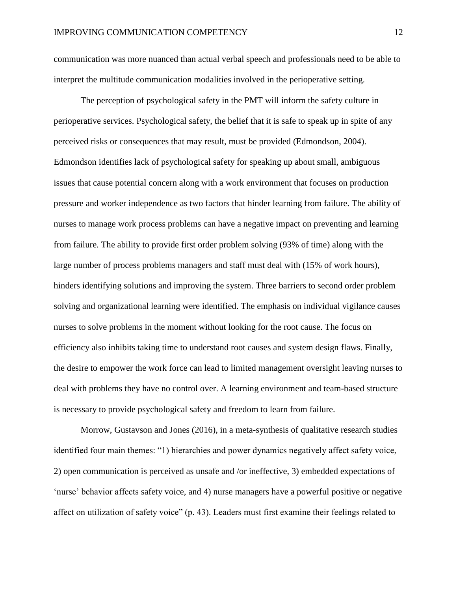communication was more nuanced than actual verbal speech and professionals need to be able to interpret the multitude communication modalities involved in the perioperative setting.

The perception of psychological safety in the PMT will inform the safety culture in perioperative services. Psychological safety, the belief that it is safe to speak up in spite of any perceived risks or consequences that may result, must be provided (Edmondson, 2004). Edmondson identifies lack of psychological safety for speaking up about small, ambiguous issues that cause potential concern along with a work environment that focuses on production pressure and worker independence as two factors that hinder learning from failure. The ability of nurses to manage work process problems can have a negative impact on preventing and learning from failure. The ability to provide first order problem solving (93% of time) along with the large number of process problems managers and staff must deal with (15% of work hours), hinders identifying solutions and improving the system. Three barriers to second order problem solving and organizational learning were identified. The emphasis on individual vigilance causes nurses to solve problems in the moment without looking for the root cause. The focus on efficiency also inhibits taking time to understand root causes and system design flaws. Finally, the desire to empower the work force can lead to limited management oversight leaving nurses to deal with problems they have no control over. A learning environment and team-based structure is necessary to provide psychological safety and freedom to learn from failure.

Morrow, Gustavson and Jones (2016), in a meta-synthesis of qualitative research studies identified four main themes: "1) hierarchies and power dynamics negatively affect safety voice, 2) open communication is perceived as unsafe and /or ineffective, 3) embedded expectations of 'nurse' behavior affects safety voice, and 4) nurse managers have a powerful positive or negative affect on utilization of safety voice" (p. 43). Leaders must first examine their feelings related to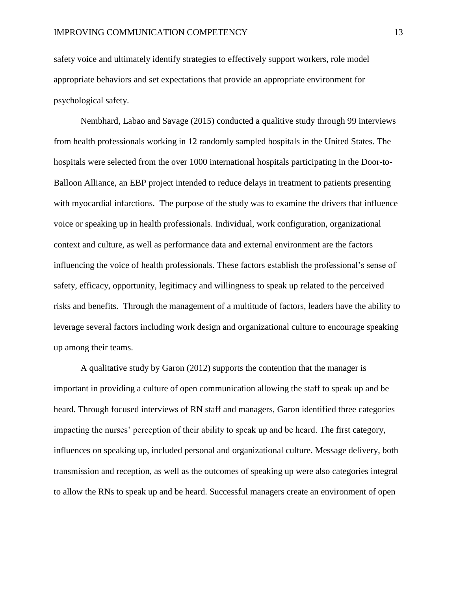safety voice and ultimately identify strategies to effectively support workers, role model appropriate behaviors and set expectations that provide an appropriate environment for psychological safety.

Nembhard, Labao and Savage (2015) conducted a qualitive study through 99 interviews from health professionals working in 12 randomly sampled hospitals in the United States. The hospitals were selected from the over 1000 international hospitals participating in the Door-to-Balloon Alliance, an EBP project intended to reduce delays in treatment to patients presenting with myocardial infarctions. The purpose of the study was to examine the drivers that influence voice or speaking up in health professionals. Individual, work configuration, organizational context and culture, as well as performance data and external environment are the factors influencing the voice of health professionals. These factors establish the professional's sense of safety, efficacy, opportunity, legitimacy and willingness to speak up related to the perceived risks and benefits. Through the management of a multitude of factors, leaders have the ability to leverage several factors including work design and organizational culture to encourage speaking up among their teams.

A qualitative study by Garon (2012) supports the contention that the manager is important in providing a culture of open communication allowing the staff to speak up and be heard. Through focused interviews of RN staff and managers, Garon identified three categories impacting the nurses' perception of their ability to speak up and be heard. The first category, influences on speaking up, included personal and organizational culture. Message delivery, both transmission and reception, as well as the outcomes of speaking up were also categories integral to allow the RNs to speak up and be heard. Successful managers create an environment of open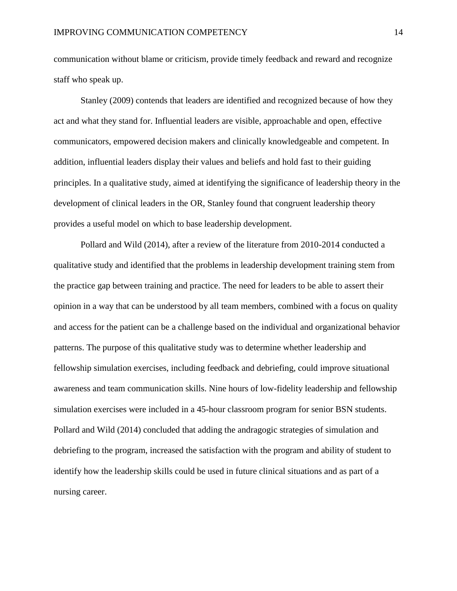communication without blame or criticism, provide timely feedback and reward and recognize staff who speak up.

Stanley (2009) contends that leaders are identified and recognized because of how they act and what they stand for. Influential leaders are visible, approachable and open, effective communicators, empowered decision makers and clinically knowledgeable and competent. In addition, influential leaders display their values and beliefs and hold fast to their guiding principles. In a qualitative study, aimed at identifying the significance of leadership theory in the development of clinical leaders in the OR, Stanley found that congruent leadership theory provides a useful model on which to base leadership development.

Pollard and Wild (2014), after a review of the literature from 2010-2014 conducted a qualitative study and identified that the problems in leadership development training stem from the practice gap between training and practice. The need for leaders to be able to assert their opinion in a way that can be understood by all team members, combined with a focus on quality and access for the patient can be a challenge based on the individual and organizational behavior patterns. The purpose of this qualitative study was to determine whether leadership and fellowship simulation exercises, including feedback and debriefing, could improve situational awareness and team communication skills. Nine hours of low-fidelity leadership and fellowship simulation exercises were included in a 45-hour classroom program for senior BSN students. Pollard and Wild (2014) concluded that adding the andragogic strategies of simulation and debriefing to the program, increased the satisfaction with the program and ability of student to identify how the leadership skills could be used in future clinical situations and as part of a nursing career.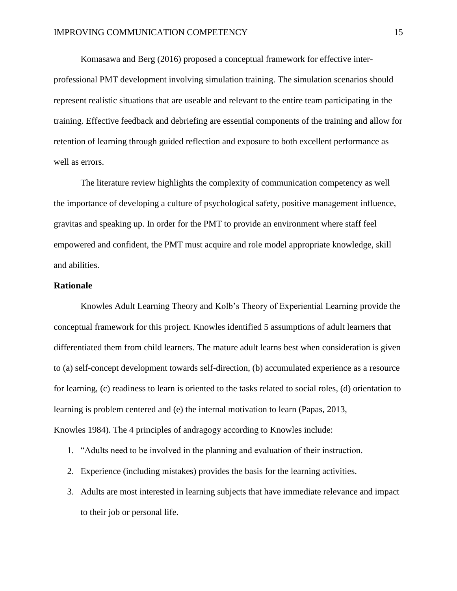Komasawa and Berg (2016) proposed a conceptual framework for effective interprofessional PMT development involving simulation training. The simulation scenarios should represent realistic situations that are useable and relevant to the entire team participating in the training. Effective feedback and debriefing are essential components of the training and allow for retention of learning through guided reflection and exposure to both excellent performance as well as errors.

The literature review highlights the complexity of communication competency as well the importance of developing a culture of psychological safety, positive management influence, gravitas and speaking up. In order for the PMT to provide an environment where staff feel empowered and confident, the PMT must acquire and role model appropriate knowledge, skill and abilities.

### **Rationale**

Knowles Adult Learning Theory and Kolb's Theory of Experiential Learning provide the conceptual framework for this project. Knowles identified 5 assumptions of adult learners that differentiated them from child learners. The mature adult learns best when consideration is given to (a) self-concept development towards self-direction, (b) accumulated experience as a resource for learning, (c) readiness to learn is oriented to the tasks related to social roles, (d) orientation to learning is problem centered and (e) the internal motivation to learn (Papas, 2013, Knowles 1984). The 4 principles of andragogy according to Knowles include:

- 1. "Adults need to be involved in the planning and evaluation of their instruction.
- 2. Experience (including mistakes) provides the basis for the learning activities.
- 3. Adults are most interested in learning subjects that have immediate relevance and impact to their job or personal life.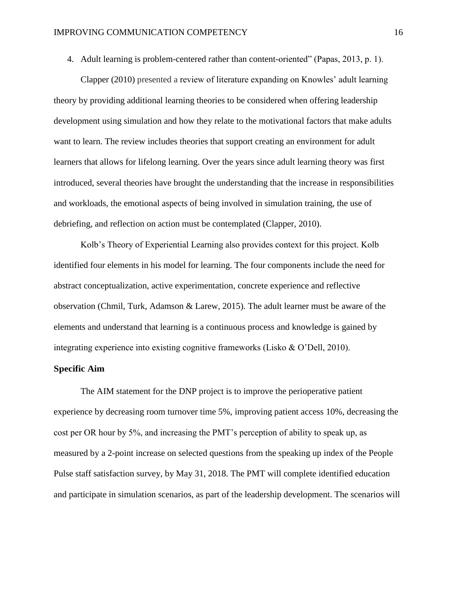4. Adult learning is problem-centered rather than content-oriented" (Papas, 2013, p. 1).

Clapper (2010) presented a review of literature expanding on Knowles' adult learning theory by providing additional learning theories to be considered when offering leadership development using simulation and how they relate to the motivational factors that make adults want to learn. The review includes theories that support creating an environment for adult learners that allows for lifelong learning. Over the years since adult learning theory was first introduced, several theories have brought the understanding that the increase in responsibilities and workloads, the emotional aspects of being involved in simulation training, the use of debriefing, and reflection on action must be contemplated (Clapper, 2010).

Kolb's Theory of Experiential Learning also provides context for this project. Kolb identified four elements in his model for learning. The four components include the need for abstract conceptualization, active experimentation, concrete experience and reflective observation (Chmil, Turk, Adamson & Larew, 2015). The adult learner must be aware of the elements and understand that learning is a continuous process and knowledge is gained by integrating experience into existing cognitive frameworks (Lisko & O'Dell, 2010).

### **Specific Aim**

The AIM statement for the DNP project is to improve the perioperative patient experience by decreasing room turnover time 5%, improving patient access 10%, decreasing the cost per OR hour by 5%, and increasing the PMT's perception of ability to speak up, as measured by a 2-point increase on selected questions from the speaking up index of the People Pulse staff satisfaction survey, by May 31, 2018. The PMT will complete identified education and participate in simulation scenarios, as part of the leadership development. The scenarios will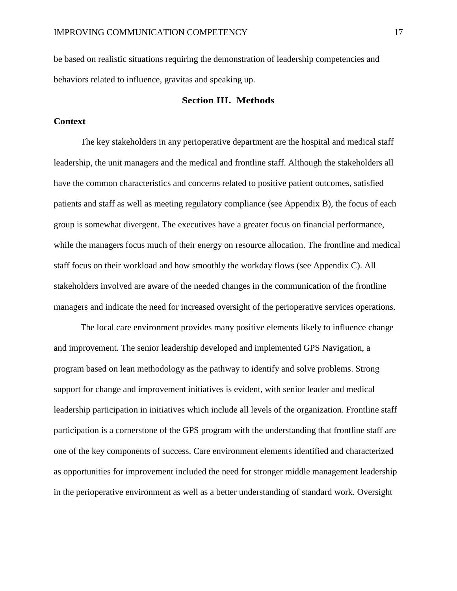be based on realistic situations requiring the demonstration of leadership competencies and behaviors related to influence, gravitas and speaking up.

### **Section III. Methods**

### **Context**

The key stakeholders in any perioperative department are the hospital and medical staff leadership, the unit managers and the medical and frontline staff. Although the stakeholders all have the common characteristics and concerns related to positive patient outcomes, satisfied patients and staff as well as meeting regulatory compliance (see Appendix B), the focus of each group is somewhat divergent. The executives have a greater focus on financial performance, while the managers focus much of their energy on resource allocation. The frontline and medical staff focus on their workload and how smoothly the workday flows (see Appendix C). All stakeholders involved are aware of the needed changes in the communication of the frontline managers and indicate the need for increased oversight of the perioperative services operations.

The local care environment provides many positive elements likely to influence change and improvement. The senior leadership developed and implemented GPS Navigation, a program based on lean methodology as the pathway to identify and solve problems. Strong support for change and improvement initiatives is evident, with senior leader and medical leadership participation in initiatives which include all levels of the organization. Frontline staff participation is a cornerstone of the GPS program with the understanding that frontline staff are one of the key components of success. Care environment elements identified and characterized as opportunities for improvement included the need for stronger middle management leadership in the perioperative environment as well as a better understanding of standard work. Oversight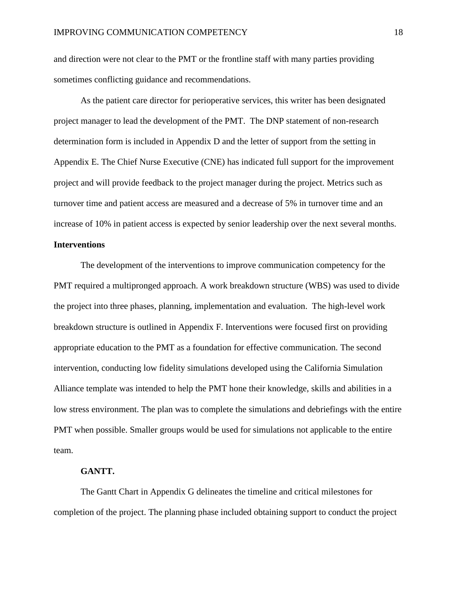and direction were not clear to the PMT or the frontline staff with many parties providing sometimes conflicting guidance and recommendations.

As the patient care director for perioperative services, this writer has been designated project manager to lead the development of the PMT. The DNP statement of non-research determination form is included in Appendix D and the letter of support from the setting in Appendix E. The Chief Nurse Executive (CNE) has indicated full support for the improvement project and will provide feedback to the project manager during the project. Metrics such as turnover time and patient access are measured and a decrease of 5% in turnover time and an increase of 10% in patient access is expected by senior leadership over the next several months.

### **Interventions**

The development of the interventions to improve communication competency for the PMT required a multipronged approach. A work breakdown structure (WBS) was used to divide the project into three phases, planning, implementation and evaluation. The high-level work breakdown structure is outlined in Appendix F. Interventions were focused first on providing appropriate education to the PMT as a foundation for effective communication. The second intervention, conducting low fidelity simulations developed using the California Simulation Alliance template was intended to help the PMT hone their knowledge, skills and abilities in a low stress environment. The plan was to complete the simulations and debriefings with the entire PMT when possible. Smaller groups would be used for simulations not applicable to the entire team.

### **GANTT.**

The Gantt Chart in Appendix G delineates the timeline and critical milestones for completion of the project. The planning phase included obtaining support to conduct the project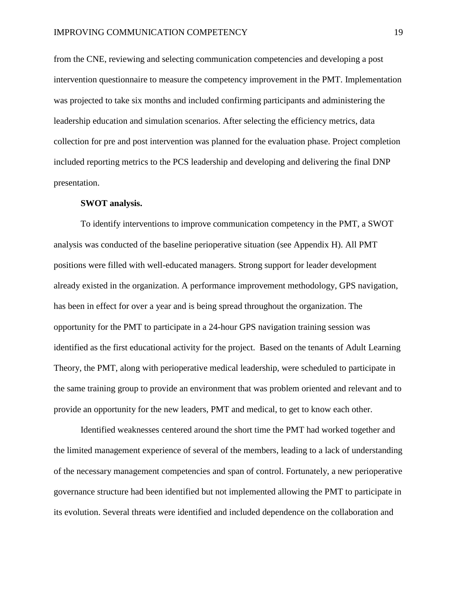from the CNE, reviewing and selecting communication competencies and developing a post intervention questionnaire to measure the competency improvement in the PMT. Implementation was projected to take six months and included confirming participants and administering the leadership education and simulation scenarios. After selecting the efficiency metrics, data collection for pre and post intervention was planned for the evaluation phase. Project completion included reporting metrics to the PCS leadership and developing and delivering the final DNP presentation.

### **SWOT analysis.**

To identify interventions to improve communication competency in the PMT, a SWOT analysis was conducted of the baseline perioperative situation (see Appendix H). All PMT positions were filled with well-educated managers. Strong support for leader development already existed in the organization. A performance improvement methodology, GPS navigation, has been in effect for over a year and is being spread throughout the organization. The opportunity for the PMT to participate in a 24-hour GPS navigation training session was identified as the first educational activity for the project. Based on the tenants of Adult Learning Theory, the PMT, along with perioperative medical leadership, were scheduled to participate in the same training group to provide an environment that was problem oriented and relevant and to provide an opportunity for the new leaders, PMT and medical, to get to know each other.

Identified weaknesses centered around the short time the PMT had worked together and the limited management experience of several of the members, leading to a lack of understanding of the necessary management competencies and span of control. Fortunately, a new perioperative governance structure had been identified but not implemented allowing the PMT to participate in its evolution. Several threats were identified and included dependence on the collaboration and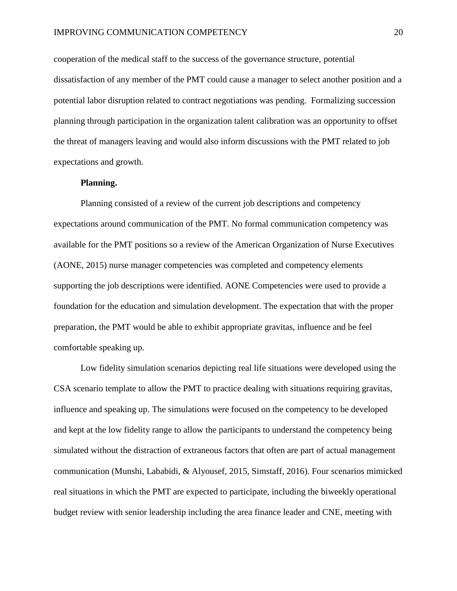### IMPROVING COMMUNICATION COMPETENCY 20

cooperation of the medical staff to the success of the governance structure, potential dissatisfaction of any member of the PMT could cause a manager to select another position and a potential labor disruption related to contract negotiations was pending. Formalizing succession planning through participation in the organization talent calibration was an opportunity to offset the threat of managers leaving and would also inform discussions with the PMT related to job expectations and growth.

### **Planning.**

Planning consisted of a review of the current job descriptions and competency expectations around communication of the PMT. No formal communication competency was available for the PMT positions so a review of the American Organization of Nurse Executives (AONE, 2015) nurse manager competencies was completed and competency elements supporting the job descriptions were identified. AONE Competencies were used to provide a foundation for the education and simulation development. The expectation that with the proper preparation, the PMT would be able to exhibit appropriate gravitas, influence and be feel comfortable speaking up.

Low fidelity simulation scenarios depicting real life situations were developed using the CSA scenario template to allow the PMT to practice dealing with situations requiring gravitas, influence and speaking up. The simulations were focused on the competency to be developed and kept at the low fidelity range to allow the participants to understand the competency being simulated without the distraction of extraneous factors that often are part of actual management communication (Munshi, Lababidi, & Alyousef, 2015, Simstaff, 2016). Four scenarios mimicked real situations in which the PMT are expected to participate, including the biweekly operational budget review with senior leadership including the area finance leader and CNE, meeting with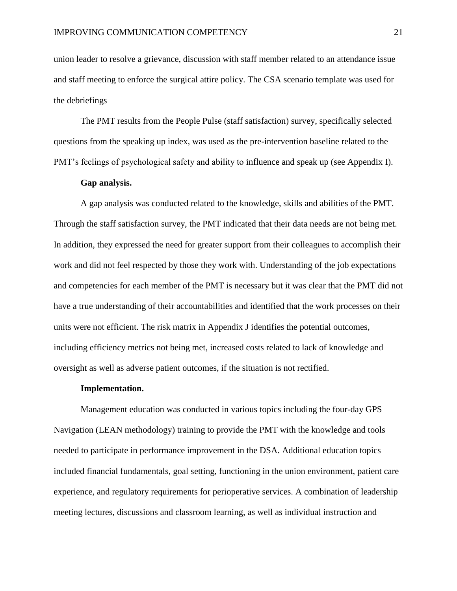union leader to resolve a grievance, discussion with staff member related to an attendance issue and staff meeting to enforce the surgical attire policy. The CSA scenario template was used for the debriefings

The PMT results from the People Pulse (staff satisfaction) survey, specifically selected questions from the speaking up index, was used as the pre-intervention baseline related to the PMT's feelings of psychological safety and ability to influence and speak up (see Appendix I).

### **Gap analysis.**

A gap analysis was conducted related to the knowledge, skills and abilities of the PMT. Through the staff satisfaction survey, the PMT indicated that their data needs are not being met. In addition, they expressed the need for greater support from their colleagues to accomplish their work and did not feel respected by those they work with. Understanding of the job expectations and competencies for each member of the PMT is necessary but it was clear that the PMT did not have a true understanding of their accountabilities and identified that the work processes on their units were not efficient. The risk matrix in Appendix J identifies the potential outcomes, including efficiency metrics not being met, increased costs related to lack of knowledge and oversight as well as adverse patient outcomes, if the situation is not rectified.

### **Implementation.**

Management education was conducted in various topics including the four-day GPS Navigation (LEAN methodology) training to provide the PMT with the knowledge and tools needed to participate in performance improvement in the DSA. Additional education topics included financial fundamentals, goal setting, functioning in the union environment, patient care experience, and regulatory requirements for perioperative services. A combination of leadership meeting lectures, discussions and classroom learning, as well as individual instruction and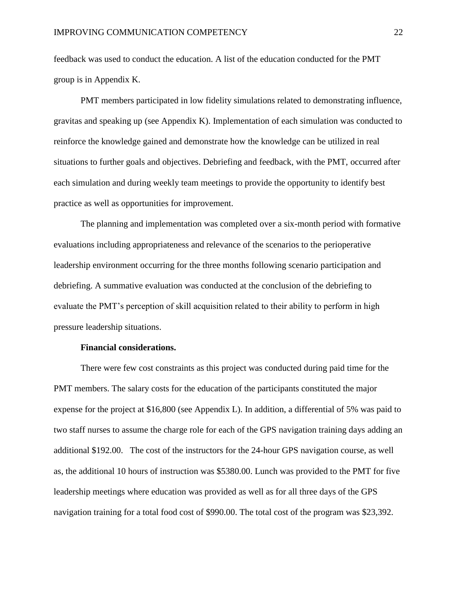feedback was used to conduct the education. A list of the education conducted for the PMT group is in Appendix K.

PMT members participated in low fidelity simulations related to demonstrating influence, gravitas and speaking up (see Appendix K). Implementation of each simulation was conducted to reinforce the knowledge gained and demonstrate how the knowledge can be utilized in real situations to further goals and objectives. Debriefing and feedback, with the PMT, occurred after each simulation and during weekly team meetings to provide the opportunity to identify best practice as well as opportunities for improvement.

The planning and implementation was completed over a six-month period with formative evaluations including appropriateness and relevance of the scenarios to the perioperative leadership environment occurring for the three months following scenario participation and debriefing. A summative evaluation was conducted at the conclusion of the debriefing to evaluate the PMT's perception of skill acquisition related to their ability to perform in high pressure leadership situations.

### **Financial considerations.**

There were few cost constraints as this project was conducted during paid time for the PMT members. The salary costs for the education of the participants constituted the major expense for the project at \$16,800 (see Appendix L). In addition, a differential of 5% was paid to two staff nurses to assume the charge role for each of the GPS navigation training days adding an additional \$192.00. The cost of the instructors for the 24-hour GPS navigation course, as well as, the additional 10 hours of instruction was \$5380.00. Lunch was provided to the PMT for five leadership meetings where education was provided as well as for all three days of the GPS navigation training for a total food cost of \$990.00. The total cost of the program was \$23,392.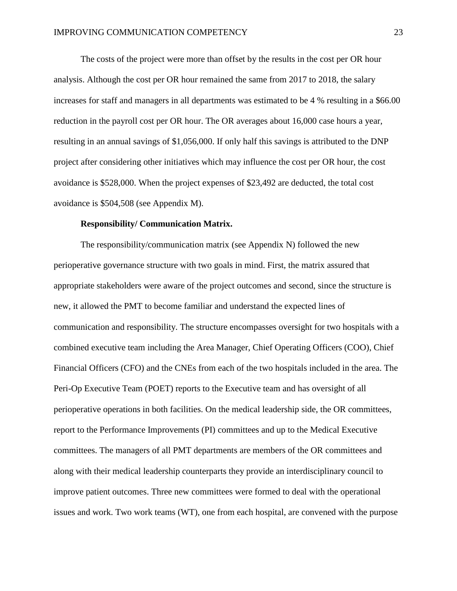The costs of the project were more than offset by the results in the cost per OR hour analysis. Although the cost per OR hour remained the same from 2017 to 2018, the salary increases for staff and managers in all departments was estimated to be 4 % resulting in a \$66.00 reduction in the payroll cost per OR hour. The OR averages about 16,000 case hours a year, resulting in an annual savings of \$1,056,000. If only half this savings is attributed to the DNP project after considering other initiatives which may influence the cost per OR hour, the cost avoidance is \$528,000. When the project expenses of \$23,492 are deducted, the total cost avoidance is \$504,508 (see Appendix M).

### **Responsibility/ Communication Matrix.**

The responsibility/communication matrix (see Appendix N) followed the new perioperative governance structure with two goals in mind. First, the matrix assured that appropriate stakeholders were aware of the project outcomes and second, since the structure is new, it allowed the PMT to become familiar and understand the expected lines of communication and responsibility. The structure encompasses oversight for two hospitals with a combined executive team including the Area Manager, Chief Operating Officers (COO), Chief Financial Officers (CFO) and the CNEs from each of the two hospitals included in the area. The Peri-Op Executive Team (POET) reports to the Executive team and has oversight of all perioperative operations in both facilities. On the medical leadership side, the OR committees, report to the Performance Improvements (PI) committees and up to the Medical Executive committees. The managers of all PMT departments are members of the OR committees and along with their medical leadership counterparts they provide an interdisciplinary council to improve patient outcomes. Three new committees were formed to deal with the operational issues and work. Two work teams (WT), one from each hospital, are convened with the purpose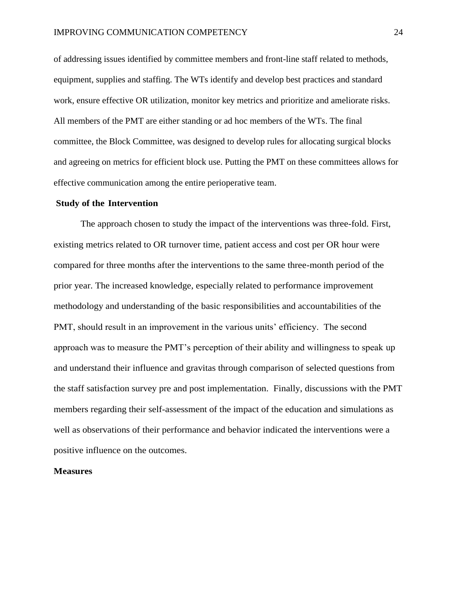of addressing issues identified by committee members and front-line staff related to methods, equipment, supplies and staffing. The WTs identify and develop best practices and standard work, ensure effective OR utilization, monitor key metrics and prioritize and ameliorate risks. All members of the PMT are either standing or ad hoc members of the WTs. The final committee, the Block Committee, was designed to develop rules for allocating surgical blocks and agreeing on metrics for efficient block use. Putting the PMT on these committees allows for effective communication among the entire perioperative team.

### **Study of the Intervention**

The approach chosen to study the impact of the interventions was three-fold. First, existing metrics related to OR turnover time, patient access and cost per OR hour were compared for three months after the interventions to the same three-month period of the prior year. The increased knowledge, especially related to performance improvement methodology and understanding of the basic responsibilities and accountabilities of the PMT, should result in an improvement in the various units' efficiency. The second approach was to measure the PMT's perception of their ability and willingness to speak up and understand their influence and gravitas through comparison of selected questions from the staff satisfaction survey pre and post implementation. Finally, discussions with the PMT members regarding their self-assessment of the impact of the education and simulations as well as observations of their performance and behavior indicated the interventions were a positive influence on the outcomes.

### **Measures**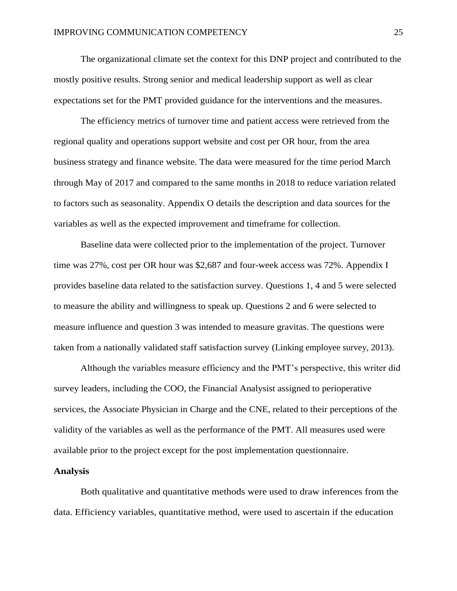The organizational climate set the context for this DNP project and contributed to the mostly positive results. Strong senior and medical leadership support as well as clear expectations set for the PMT provided guidance for the interventions and the measures.

The efficiency metrics of turnover time and patient access were retrieved from the regional quality and operations support website and cost per OR hour, from the area business strategy and finance website. The data were measured for the time period March through May of 2017 and compared to the same months in 2018 to reduce variation related to factors such as seasonality. Appendix O details the description and data sources for the variables as well as the expected improvement and timeframe for collection.

Baseline data were collected prior to the implementation of the project. Turnover time was 27%, cost per OR hour was \$2,687 and four-week access was 72%. Appendix I provides baseline data related to the satisfaction survey. Questions 1, 4 and 5 were selected to measure the ability and willingness to speak up. Questions 2 and 6 were selected to measure influence and question 3 was intended to measure gravitas. The questions were taken from a nationally validated staff satisfaction survey (Linking employee survey, 2013).

Although the variables measure efficiency and the PMT's perspective, this writer did survey leaders, including the COO, the Financial Analysist assigned to perioperative services, the Associate Physician in Charge and the CNE, related to their perceptions of the validity of the variables as well as the performance of the PMT. All measures used were available prior to the project except for the post implementation questionnaire.

### **Analysis**

Both qualitative and quantitative methods were used to draw inferences from the data. Efficiency variables, quantitative method, were used to ascertain if the education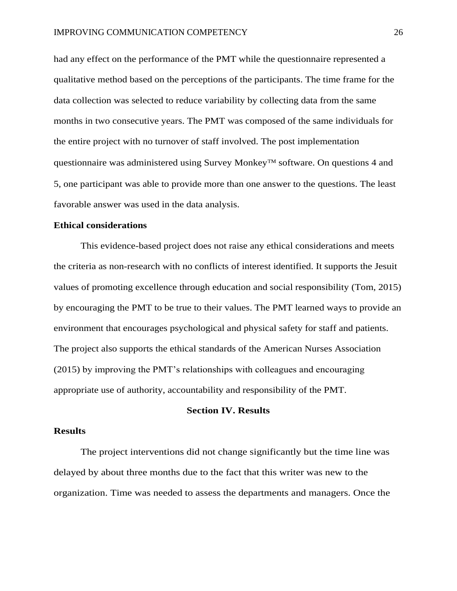had any effect on the performance of the PMT while the questionnaire represented a qualitative method based on the perceptions of the participants. The time frame for the data collection was selected to reduce variability by collecting data from the same months in two consecutive years. The PMT was composed of the same individuals for the entire project with no turnover of staff involved. The post implementation questionnaire was administered using Survey Monkey<sup>TM</sup> software. On questions 4 and 5, one participant was able to provide more than one answer to the questions. The least favorable answer was used in the data analysis.

### **Ethical considerations**

This evidence-based project does not raise any ethical considerations and meets the criteria as non-research with no conflicts of interest identified. It supports the Jesuit values of promoting excellence through education and social responsibility (Tom, 2015) by encouraging the PMT to be true to their values. The PMT learned ways to provide an environment that encourages psychological and physical safety for staff and patients. The project also supports the ethical standards of the American Nurses Association (2015) by improving the PMT's relationships with colleagues and encouraging appropriate use of authority, accountability and responsibility of the PMT.

### **Section IV. Results**

### **Results**

The project interventions did not change significantly but the time line was delayed by about three months due to the fact that this writer was new to the organization. Time was needed to assess the departments and managers. Once the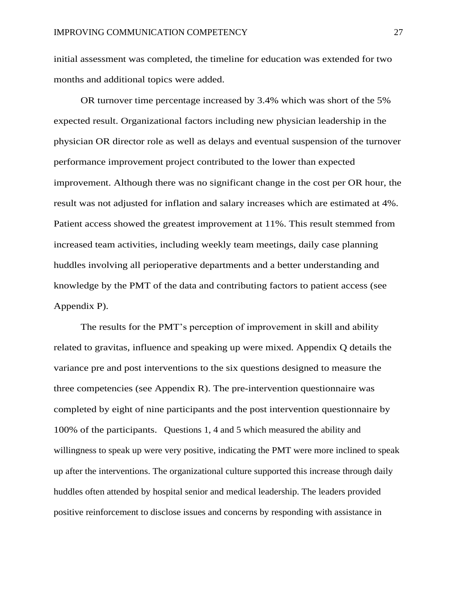initial assessment was completed, the timeline for education was extended for two months and additional topics were added.

OR turnover time percentage increased by 3.4% which was short of the 5% expected result. Organizational factors including new physician leadership in the physician OR director role as well as delays and eventual suspension of the turnover performance improvement project contributed to the lower than expected improvement. Although there was no significant change in the cost per OR hour, the result was not adjusted for inflation and salary increases which are estimated at 4%. Patient access showed the greatest improvement at 11%. This result stemmed from increased team activities, including weekly team meetings, daily case planning huddles involving all perioperative departments and a better understanding and knowledge by the PMT of the data and contributing factors to patient access (see Appendix P).

The results for the PMT's perception of improvement in skill and ability related to gravitas, influence and speaking up were mixed. Appendix Q details the variance pre and post interventions to the six questions designed to measure the three competencies (see Appendix R). The pre-intervention questionnaire was completed by eight of nine participants and the post intervention questionnaire by 100% of the participants. Questions 1, 4 and 5 which measured the ability and willingness to speak up were very positive, indicating the PMT were more inclined to speak up after the interventions. The organizational culture supported this increase through daily huddles often attended by hospital senior and medical leadership. The leaders provided positive reinforcement to disclose issues and concerns by responding with assistance in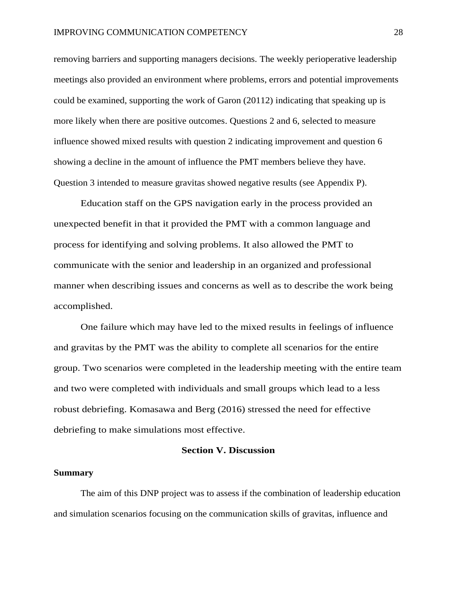removing barriers and supporting managers decisions. The weekly perioperative leadership meetings also provided an environment where problems, errors and potential improvements could be examined, supporting the work of Garon (20112) indicating that speaking up is more likely when there are positive outcomes. Questions 2 and 6, selected to measure influence showed mixed results with question 2 indicating improvement and question 6 showing a decline in the amount of influence the PMT members believe they have. Question 3 intended to measure gravitas showed negative results (see Appendix P).

Education staff on the GPS navigation early in the process provided an unexpected benefit in that it provided the PMT with a common language and process for identifying and solving problems. It also allowed the PMT to communicate with the senior and leadership in an organized and professional manner when describing issues and concerns as well as to describe the work being accomplished.

One failure which may have led to the mixed results in feelings of influence and gravitas by the PMT was the ability to complete all scenarios for the entire group. Two scenarios were completed in the leadership meeting with the entire team and two were completed with individuals and small groups which lead to a less robust debriefing. Komasawa and Berg (2016) stressed the need for effective debriefing to make simulations most effective.

### **Section V. Discussion**

### **Summary**

The aim of this DNP project was to assess if the combination of leadership education and simulation scenarios focusing on the communication skills of gravitas, influence and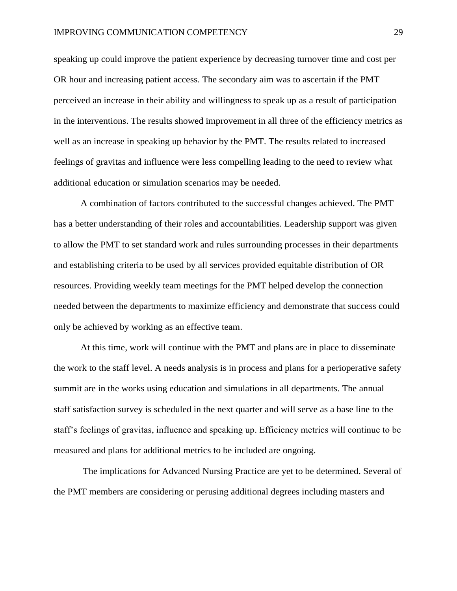speaking up could improve the patient experience by decreasing turnover time and cost per OR hour and increasing patient access. The secondary aim was to ascertain if the PMT perceived an increase in their ability and willingness to speak up as a result of participation in the interventions. The results showed improvement in all three of the efficiency metrics as well as an increase in speaking up behavior by the PMT. The results related to increased feelings of gravitas and influence were less compelling leading to the need to review what additional education or simulation scenarios may be needed.

A combination of factors contributed to the successful changes achieved. The PMT has a better understanding of their roles and accountabilities. Leadership support was given to allow the PMT to set standard work and rules surrounding processes in their departments and establishing criteria to be used by all services provided equitable distribution of OR resources. Providing weekly team meetings for the PMT helped develop the connection needed between the departments to maximize efficiency and demonstrate that success could only be achieved by working as an effective team.

At this time, work will continue with the PMT and plans are in place to disseminate the work to the staff level. A needs analysis is in process and plans for a perioperative safety summit are in the works using education and simulations in all departments. The annual staff satisfaction survey is scheduled in the next quarter and will serve as a base line to the staff's feelings of gravitas, influence and speaking up. Efficiency metrics will continue to be measured and plans for additional metrics to be included are ongoing.

The implications for Advanced Nursing Practice are yet to be determined. Several of the PMT members are considering or perusing additional degrees including masters and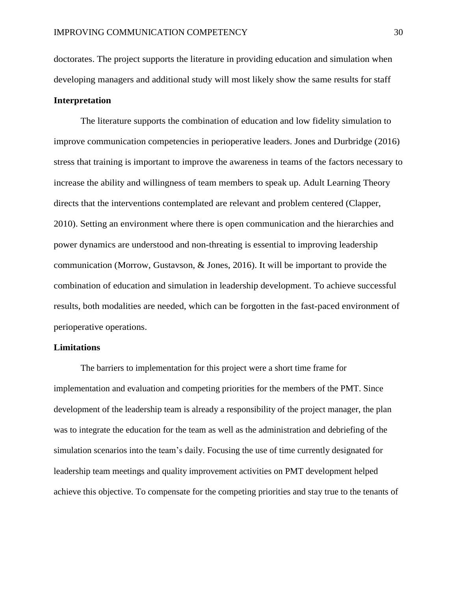doctorates. The project supports the literature in providing education and simulation when developing managers and additional study will most likely show the same results for staff **Interpretation**

The literature supports the combination of education and low fidelity simulation to improve communication competencies in perioperative leaders. Jones and Durbridge (2016) stress that training is important to improve the awareness in teams of the factors necessary to increase the ability and willingness of team members to speak up. Adult Learning Theory directs that the interventions contemplated are relevant and problem centered (Clapper, 2010). Setting an environment where there is open communication and the hierarchies and power dynamics are understood and non-threating is essential to improving leadership communication (Morrow, Gustavson, & Jones, 2016). It will be important to provide the combination of education and simulation in leadership development. To achieve successful results, both modalities are needed, which can be forgotten in the fast-paced environment of perioperative operations.

### **Limitations**

The barriers to implementation for this project were a short time frame for implementation and evaluation and competing priorities for the members of the PMT. Since development of the leadership team is already a responsibility of the project manager, the plan was to integrate the education for the team as well as the administration and debriefing of the simulation scenarios into the team's daily. Focusing the use of time currently designated for leadership team meetings and quality improvement activities on PMT development helped achieve this objective. To compensate for the competing priorities and stay true to the tenants of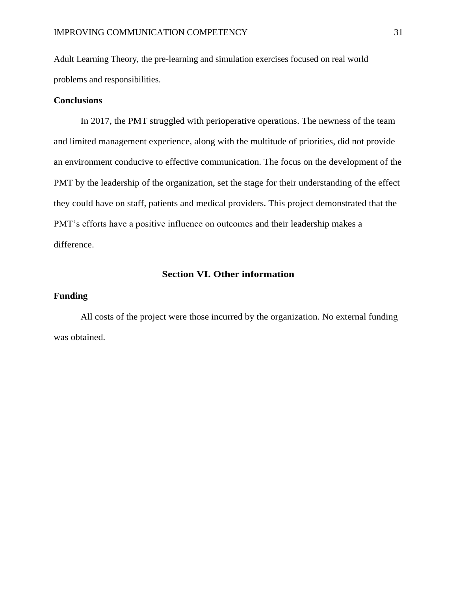Adult Learning Theory, the pre-learning and simulation exercises focused on real world problems and responsibilities.

### **Conclusions**

In 2017, the PMT struggled with perioperative operations. The newness of the team and limited management experience, along with the multitude of priorities, did not provide an environment conducive to effective communication. The focus on the development of the PMT by the leadership of the organization, set the stage for their understanding of the effect they could have on staff, patients and medical providers. This project demonstrated that the PMT's efforts have a positive influence on outcomes and their leadership makes a difference.

### **Section VI. Other information**

### **Funding**

All costs of the project were those incurred by the organization. No external funding was obtained.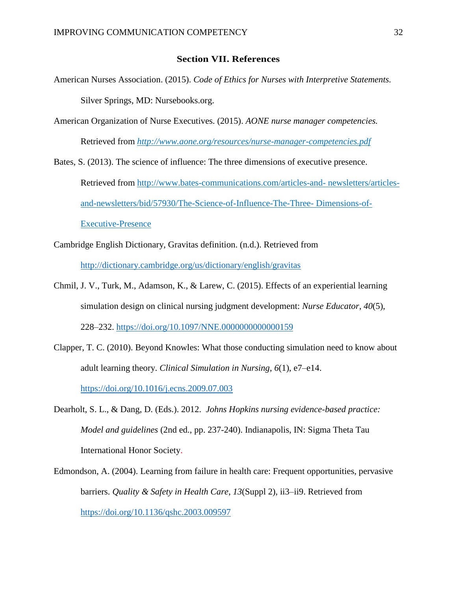### **Section VII. References**

- American Nurses Association. (2015). *Code of Ethics for Nurses with Interpretive Statements.*  Silver Springs, MD: Nursebooks.org.
- American Organization of Nurse Executives. (2015). *AONE nurse manager competencies.*  Retrieved from *<http://www.aone.org/resources/nurse-manager-competencies.pdf>*
- Bates, S. (2013). The science of influence: The three dimensions of executive presence. Retrieved from http://www.bates-communications.com/articles-and- newsletters/articlesand-newsletters/bid/57930/The-Science-of-Influence-The-Three- Dimensions-of-Executive-Presence
- Cambridge English Dictionary, Gravitas definition. (n.d.). Retrieved from <http://dictionary.cambridge.org/us/dictionary/english/gravitas>
- Chmil, J. V., Turk, M., Adamson, K., & Larew, C. (2015). Effects of an experiential learning simulation design on clinical nursing judgment development: *Nurse Educator*, *40*(5), 228–232. https://doi.org/10.1097/NNE.0000000000000159
- Clapper, T. C. (2010). Beyond Knowles: What those conducting simulation need to know about adult learning theory. *Clinical Simulation in Nursing*, *6*(1), e7–e14. <https://doi.org/10.1016/j.ecns.2009.07.003>
- Dearholt, S. L., & Dang, D. (Eds.). 2012. *Johns Hopkins nursing evidence-based practice: Model and guidelines* (2nd ed., pp. 237-240). Indianapolis, IN: Sigma Theta Tau International Honor Society.
- Edmondson, A. (2004). Learning from failure in health care: Frequent opportunities, pervasive barriers. *Quality & Safety in Health Care*, *13*(Suppl 2), ii3–ii9. Retrieved from <https://doi.org/10.1136/qshc.2003.009597>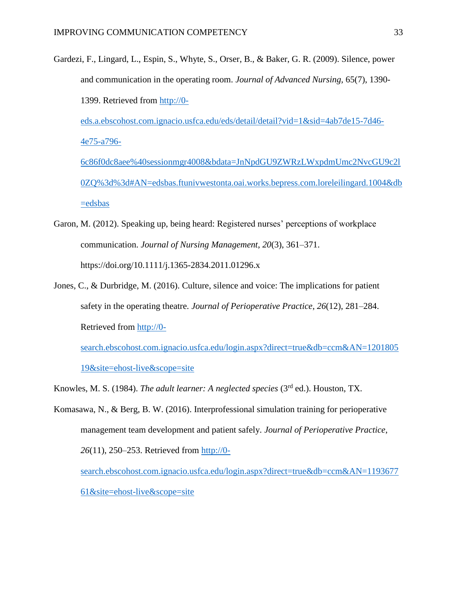Gardezi, F., Lingard, L., Espin, S., Whyte, S., Orser, B., & Baker, G. R. (2009). Silence, power and communication in the operating room. *Journal of Advanced Nursing,* 65(7), 1390- 1399. Retrieved from [http://0](http://0-eds.a.ebscohost.com.ignacio.usfca.edu/eds/detail/detail?vid=1&sid=4ab7de15-7d46-4e75-a796-6c86f0dc8aee%40sessionmgr4008&bdata=JnNpdGU9ZWRzLWxpdmUmc2NvcGU9c2l0ZQ%3d%3d#AN=edsbas.ftunivwestonta.oai.works.bepress.com.loreleilingard.1004&db=edsbas)  [eds.a.ebscohost.com.ignacio.usfca.edu/eds/detail/detail?vid=1&sid=4ab7de15-7d46-](http://0-eds.a.ebscohost.com.ignacio.usfca.edu/eds/detail/detail?vid=1&sid=4ab7de15-7d46-4e75-a796-6c86f0dc8aee%40sessionmgr4008&bdata=JnNpdGU9ZWRzLWxpdmUmc2NvcGU9c2l0ZQ%3d%3d#AN=edsbas.ftunivwestonta.oai.works.bepress.com.loreleilingard.1004&db=edsbas) [4e75-a796-](http://0-eds.a.ebscohost.com.ignacio.usfca.edu/eds/detail/detail?vid=1&sid=4ab7de15-7d46-4e75-a796-6c86f0dc8aee%40sessionmgr4008&bdata=JnNpdGU9ZWRzLWxpdmUmc2NvcGU9c2l0ZQ%3d%3d#AN=edsbas.ftunivwestonta.oai.works.bepress.com.loreleilingard.1004&db=edsbas) [6c86f0dc8aee%40sessionmgr4008&bdata=JnNpdGU9ZWRzLWxpdmUmc2NvcGU9c2l](http://0-eds.a.ebscohost.com.ignacio.usfca.edu/eds/detail/detail?vid=1&sid=4ab7de15-7d46-4e75-a796-6c86f0dc8aee%40sessionmgr4008&bdata=JnNpdGU9ZWRzLWxpdmUmc2NvcGU9c2l0ZQ%3d%3d#AN=edsbas.ftunivwestonta.oai.works.bepress.com.loreleilingard.1004&db=edsbas)

[0ZQ%3d%3d#AN=edsbas.ftunivwestonta.oai.works.bepress.com.loreleilingard.1004&db](http://0-eds.a.ebscohost.com.ignacio.usfca.edu/eds/detail/detail?vid=1&sid=4ab7de15-7d46-4e75-a796-6c86f0dc8aee%40sessionmgr4008&bdata=JnNpdGU9ZWRzLWxpdmUmc2NvcGU9c2l0ZQ%3d%3d#AN=edsbas.ftunivwestonta.oai.works.bepress.com.loreleilingard.1004&db=edsbas) [=edsbas](http://0-eds.a.ebscohost.com.ignacio.usfca.edu/eds/detail/detail?vid=1&sid=4ab7de15-7d46-4e75-a796-6c86f0dc8aee%40sessionmgr4008&bdata=JnNpdGU9ZWRzLWxpdmUmc2NvcGU9c2l0ZQ%3d%3d#AN=edsbas.ftunivwestonta.oai.works.bepress.com.loreleilingard.1004&db=edsbas)

- Garon, M. (2012). Speaking up, being heard: Registered nurses' perceptions of workplace communication. *Journal of Nursing Management*, *20*(3), 361–371. https://doi.org/10.1111/j.1365-2834.2011.01296.x
- Jones, C., & Durbridge, M. (2016). Culture, silence and voice: The implications for patient safety in the operating theatre. *Journal of Perioperative Practice*, *26*(12), 281–284. Retrieved from [http://0-](http://0-search.ebscohost.com.ignacio.usfca.edu/login.aspx?direct=true&db=ccm&AN=120180519&site=ehost-live&scope=site)

[search.ebscohost.com.ignacio.usfca.edu/login.aspx?direct=true&db=ccm&AN=1201805](http://0-search.ebscohost.com.ignacio.usfca.edu/login.aspx?direct=true&db=ccm&AN=120180519&site=ehost-live&scope=site) [19&site=ehost-live&scope=site](http://0-search.ebscohost.com.ignacio.usfca.edu/login.aspx?direct=true&db=ccm&AN=120180519&site=ehost-live&scope=site)

Knowles, M. S. (1984). *The adult learner: A neglected species* (3rd ed.). Houston, TX.

Komasawa, N., & Berg, B. W. (2016). Interprofessional simulation training for perioperative management team development and patient safely. *Journal of Perioperative Practice*, *26*(11), 250–253. Retrieved from [http://0](http://0-search.ebscohost.com.ignacio.usfca.edu/login.aspx?direct=true&db=ccm&AN=119367761&site=ehost-live&scope=site) [search.ebscohost.com.ignacio.usfca.edu/login.aspx?direct=true&db=ccm&AN=1193677](http://0-search.ebscohost.com.ignacio.usfca.edu/login.aspx?direct=true&db=ccm&AN=119367761&site=ehost-live&scope=site)

[61&site=ehost-live&scope=site](http://0-search.ebscohost.com.ignacio.usfca.edu/login.aspx?direct=true&db=ccm&AN=119367761&site=ehost-live&scope=site)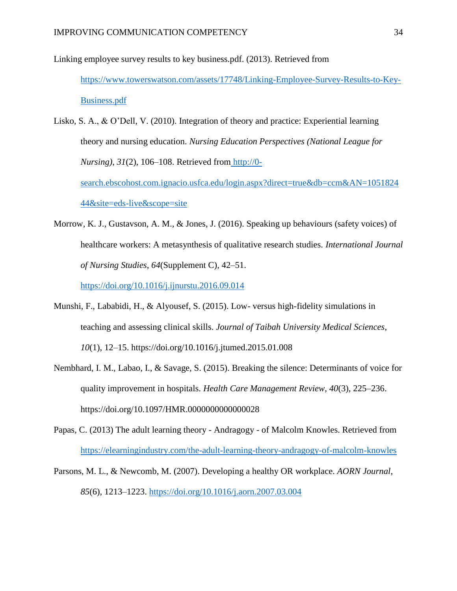Linking employee survey results to key business.pdf. (2013). Retrieved from

[https://www.towerswatson.com/assets/17748/Linking-Employee-Survey-Results-to-Key-](https://www.towerswatson.com/assets/17748/Linking-Employee-Survey-Results-to-Key-Business.pdf)[Business.pdf](https://www.towerswatson.com/assets/17748/Linking-Employee-Survey-Results-to-Key-Business.pdf)

- Lisko, S. A., & O'Dell, V. (2010). Integration of theory and practice: Experiential learning theory and nursing education. *Nursing Education Perspectives (National League for Nursing)*, *31*(2), 106–108. Retrieved from http://0 search.ebscohost.com.ignacio.usfca.edu/login.aspx?direct=true&db=ccm&AN=1051824 44&site=eds-live&scope=site
- Morrow, K. J., Gustavson, A. M., & Jones, J. (2016). Speaking up behaviours (safety voices) of healthcare workers: A metasynthesis of qualitative research studies. *International Journal of Nursing Studies*, *64*(Supplement C), 42–51.

<https://doi.org/10.1016/j.ijnurstu.2016.09.014>

- Munshi, F., Lababidi, H., & Alyousef, S. (2015). Low- versus high-fidelity simulations in teaching and assessing clinical skills. *Journal of Taibah University Medical Sciences*, *10*(1), 12–15. https://doi.org/10.1016/j.jtumed.2015.01.008
- Nembhard, I. M., Labao, I., & Savage, S. (2015). Breaking the silence: Determinants of voice for quality improvement in hospitals. *Health Care Management Review*, *40*(3), 225–236. https://doi.org/10.1097/HMR.0000000000000028
- Papas, C. (2013) The adult learning theory Andragogy of Malcolm Knowles. Retrieved from <https://elearningindustry.com/the-adult-learning-theory-andragogy-of-malcolm-knowles>
- Parsons, M. L., & Newcomb, M. (2007). Developing a healthy OR workplace. *AORN Journal*, *85*(6), 1213–1223.<https://doi.org/10.1016/j.aorn.2007.03.004>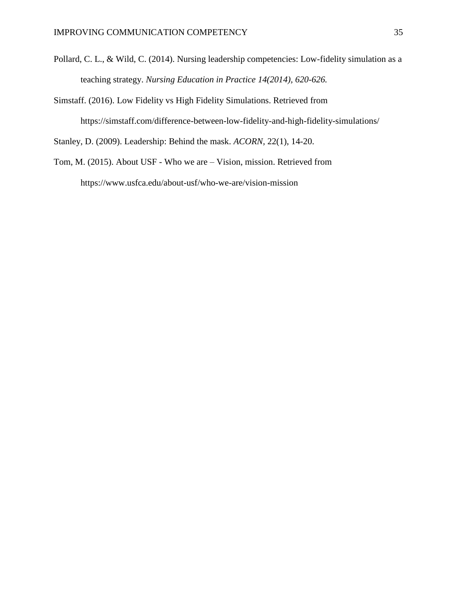- Pollard, C. L., & Wild, C. (2014). Nursing leadership competencies: Low-fidelity simulation as a teaching strategy. *Nursing Education in Practice 14(2014), 620-626.*
- Simstaff. (2016). Low Fidelity vs High Fidelity Simulations. Retrieved from https://simstaff.com/difference-between-low-fidelity-and-high-fidelity-simulations/

Stanley, D. (2009). Leadership: Behind the mask. *ACORN,* 22(1), 14-20.

Tom, M. (2015). About USF - Who we are – Vision, mission. Retrieved from https://www.usfca.edu/about-usf/who-we-are/vision-mission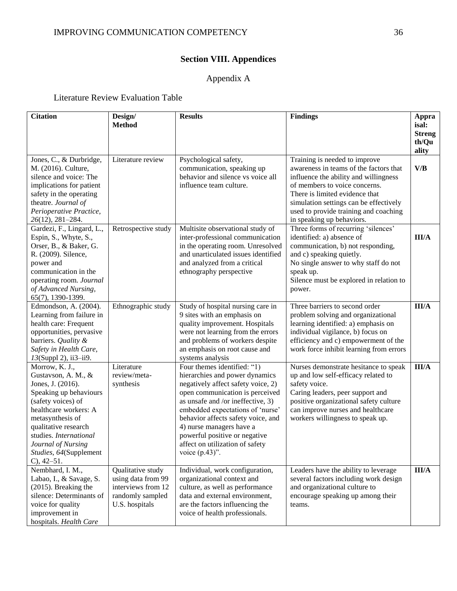## **Section VIII. Appendices**

## Appendix A

Literature Review Evaluation Table

| <b>Citation</b>                             | Design/             | <b>Results</b>                                                        | <b>Findings</b>                                                  | Appra                  |
|---------------------------------------------|---------------------|-----------------------------------------------------------------------|------------------------------------------------------------------|------------------------|
|                                             | <b>Method</b>       |                                                                       |                                                                  | isal:<br><b>Streng</b> |
|                                             |                     |                                                                       |                                                                  | th/Qu                  |
|                                             |                     |                                                                       |                                                                  | ality                  |
| Jones, C., & Durbridge,                     | Literature review   | Psychological safety,                                                 | Training is needed to improve                                    |                        |
| M. (2016). Culture,                         |                     | communication, speaking up                                            | awareness in teams of the factors that                           | V/B                    |
| silence and voice: The                      |                     | behavior and silence vs voice all                                     | influence the ability and willingness                            |                        |
| implications for patient                    |                     | influence team culture.                                               | of members to voice concerns.                                    |                        |
| safety in the operating                     |                     |                                                                       | There is limited evidence that                                   |                        |
| theatre. Journal of                         |                     |                                                                       | simulation settings can be effectively                           |                        |
| Perioperative Practice,                     |                     |                                                                       | used to provide training and coaching                            |                        |
| 26(12), 281-284.                            |                     |                                                                       | in speaking up behaviors.                                        |                        |
| Gardezi, F., Lingard, L.,                   | Retrospective study | Multisite observational study of                                      | Three forms of recurring 'silences'                              |                        |
| Espin, S., Whyte, S.,                       |                     | inter-professional communication                                      | identified: a) absence of                                        | <b>III/A</b>           |
| Orser, B., & Baker, G.                      |                     | in the operating room. Unresolved                                     | communication, b) not responding,                                |                        |
| R. (2009). Silence,<br>power and            |                     | and unarticulated issues identified<br>and analyzed from a critical   | and c) speaking quietly.<br>No single answer to why staff do not |                        |
| communication in the                        |                     | ethnography perspective                                               | speak up.                                                        |                        |
| operating room. Journal                     |                     |                                                                       | Silence must be explored in relation to                          |                        |
| of Advanced Nursing,                        |                     |                                                                       | power.                                                           |                        |
| 65(7), 1390-1399.                           |                     |                                                                       |                                                                  |                        |
| Edmondson, A. (2004).                       | Ethnographic study  | Study of hospital nursing care in                                     | Three barriers to second order                                   | <b>III/A</b>           |
| Learning from failure in                    |                     | 9 sites with an emphasis on                                           | problem solving and organizational                               |                        |
| health care: Frequent                       |                     | quality improvement. Hospitals                                        | learning identified: a) emphasis on                              |                        |
| opportunities, pervasive                    |                     | were not learning from the errors                                     | individual vigilance, b) focus on                                |                        |
| barriers. Quality &                         |                     | and problems of workers despite                                       | efficiency and c) empowerment of the                             |                        |
| Safety in Health Care,                      |                     | an emphasis on root cause and                                         | work force inhibit learning from errors                          |                        |
| 13(Suppl 2), ii3-ii9.                       |                     | systems analysis                                                      |                                                                  |                        |
| Morrow, K. J.,                              | Literature          | Four themes identified: "1)                                           | Nurses demonstrate hesitance to speak                            | <b>III/A</b>           |
| Gustavson, A. M., &                         | review/meta-        | hierarchies and power dynamics                                        | up and low self-efficacy related to                              |                        |
| Jones, J. (2016).<br>Speaking up behaviours | synthesis           | negatively affect safety voice, 2)<br>open communication is perceived | safety voice.<br>Caring leaders, peer support and                |                        |
| (safety voices) of                          |                     | as unsafe and /or ineffective, 3)                                     | positive organizational safety culture                           |                        |
| healthcare workers: A                       |                     | embedded expectations of 'nurse'                                      | can improve nurses and healthcare                                |                        |
| metasynthesis of                            |                     | behavior affects safety voice, and                                    | workers willingness to speak up.                                 |                        |
| qualitative research                        |                     | 4) nurse managers have a                                              |                                                                  |                        |
| studies. International                      |                     | powerful positive or negative                                         |                                                                  |                        |
| Journal of Nursing                          |                     | affect on utilization of safety                                       |                                                                  |                        |
| Studies, 64(Supplement                      |                     | voice $(p.43)$ ".                                                     |                                                                  |                        |
| $C$ ), 42–51.                               |                     |                                                                       |                                                                  |                        |
| Nembhard, I. M.,                            | Qualitative study   | Individual, work configuration,                                       | Leaders have the ability to leverage                             | <b>III/A</b>           |
| Labao, I., & Savage, S.                     | using data from 99  | organizational context and                                            | several factors including work design                            |                        |
| (2015). Breaking the                        | interviews from 12  | culture, as well as performance                                       | and organizational culture to                                    |                        |
| silence: Determinants of                    | randomly sampled    | data and external environment,                                        | encourage speaking up among their                                |                        |
| voice for quality                           | U.S. hospitals      | are the factors influencing the                                       | teams.                                                           |                        |
| improvement in                              |                     | voice of health professionals.                                        |                                                                  |                        |
| hospitals. Health Care                      |                     |                                                                       |                                                                  |                        |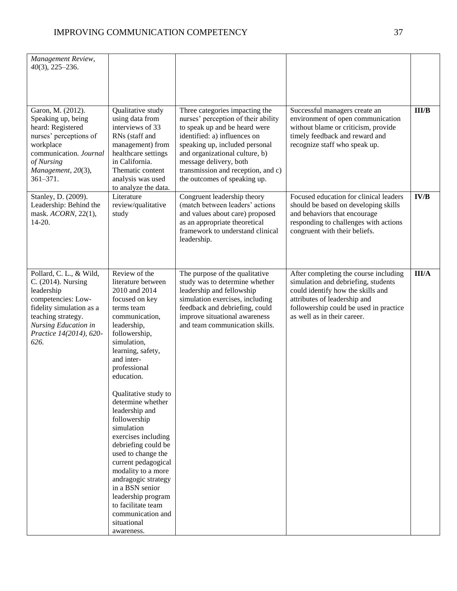| Management Review,<br>$40(3)$ , 225-236.                                                                                                                                                       |                                                                                                                                                                                                                                                                                                                                                                                                                                                                                                                                                                              |                                                                                                                                                                                                                                                                                                            |                                                                                                                                                                                                                            |              |
|------------------------------------------------------------------------------------------------------------------------------------------------------------------------------------------------|------------------------------------------------------------------------------------------------------------------------------------------------------------------------------------------------------------------------------------------------------------------------------------------------------------------------------------------------------------------------------------------------------------------------------------------------------------------------------------------------------------------------------------------------------------------------------|------------------------------------------------------------------------------------------------------------------------------------------------------------------------------------------------------------------------------------------------------------------------------------------------------------|----------------------------------------------------------------------------------------------------------------------------------------------------------------------------------------------------------------------------|--------------|
|                                                                                                                                                                                                |                                                                                                                                                                                                                                                                                                                                                                                                                                                                                                                                                                              |                                                                                                                                                                                                                                                                                                            |                                                                                                                                                                                                                            |              |
|                                                                                                                                                                                                |                                                                                                                                                                                                                                                                                                                                                                                                                                                                                                                                                                              |                                                                                                                                                                                                                                                                                                            |                                                                                                                                                                                                                            |              |
| Garon, M. (2012).<br>Speaking up, being<br>heard: Registered<br>nurses' perceptions of<br>workplace<br>communication. Journal<br>of Nursing<br>Management, 20(3),<br>$361 - 371.$              | Qualitative study<br>using data from<br>interviews of 33<br>RNs (staff and<br>management) from<br>healthcare settings<br>in California.<br>Thematic content<br>analysis was used<br>to analyze the data.                                                                                                                                                                                                                                                                                                                                                                     | Three categories impacting the<br>nurses' perception of their ability<br>to speak up and be heard were<br>identified: a) influences on<br>speaking up, included personal<br>and organizational culture, b)<br>message delivery, both<br>transmission and reception, and c)<br>the outcomes of speaking up. | Successful managers create an<br>environment of open communication<br>without blame or criticism, provide<br>timely feedback and reward and<br>recognize staff who speak up.                                               | III/B        |
| Stanley, D. (2009).<br>Leadership: Behind the<br>mask. ACORN, 22(1),<br>14-20.                                                                                                                 | Literature<br>review/qualitative<br>study                                                                                                                                                                                                                                                                                                                                                                                                                                                                                                                                    | Congruent leadership theory<br>(match between leaders' actions<br>and values about care) proposed<br>as an appropriate theoretical<br>framework to understand clinical<br>leadership.                                                                                                                      | Focused education for clinical leaders<br>should be based on developing skills<br>and behaviors that encourage<br>responding to challenges with actions<br>congruent with their beliefs.                                   | IV/B         |
| Pollard, C. L., & Wild,<br>C. (2014). Nursing<br>leadership<br>competencies: Low-<br>fidelity simulation as a<br>teaching strategy.<br>Nursing Education in<br>Practice 14(2014), 620-<br>626. | Review of the<br>literature between<br>2010 and 2014<br>focused on key<br>terms team<br>communication,<br>leadership,<br>followership,<br>simulation,<br>learning, safety,<br>and inter-<br>professional<br>education.<br>Qualitative study to<br>determine whether<br>leadership and<br>followership<br>simulation<br>exercises including<br>debriefing could be<br>used to change the<br>current pedagogical<br>modality to a more<br>andragogic strategy<br>in a BSN senior<br>leadership program<br>to facilitate team<br>communication and<br>situational<br>awareness. | The purpose of the qualitative<br>study was to determine whether<br>leadership and fellowship<br>simulation exercises, including<br>feedback and debriefing, could<br>improve situational awareness<br>and team communication skills.                                                                      | After completing the course including<br>simulation and debriefing, students<br>could identify how the skills and<br>attributes of leadership and<br>followership could be used in practice<br>as well as in their career. | <b>III/A</b> |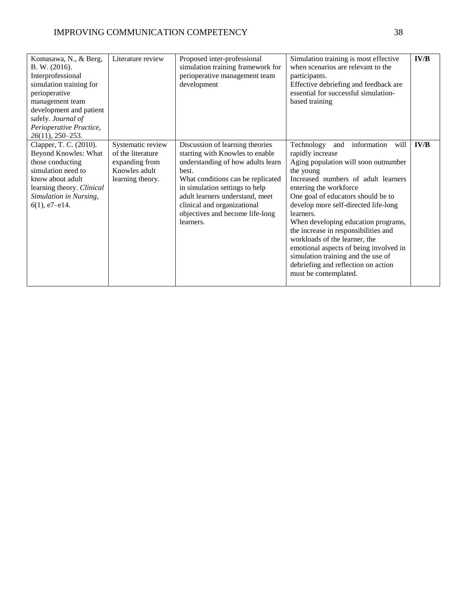## IMPROVING COMMUNICATION COMPETENCY 38

| Komasawa, N., & Berg,<br>B. W. (2016).<br>Interprofessional<br>simulation training for<br>perioperative<br>management team<br>development and patient<br>safely. Journal of<br>Perioperative Practice,<br>26(11), 250-253. | Literature review                                                                             | Proposed inter-professional<br>simulation training framework for<br>perioperative management team<br>development                                                                                                                                                                                          | Simulation training is most effective<br>when scenarios are relevant to the<br>participants.<br>Effective debriefing and feedback are<br>essential for successful simulation-<br>based training                                                                                                                                                                                                                                                                                                                                               | IV/B |
|----------------------------------------------------------------------------------------------------------------------------------------------------------------------------------------------------------------------------|-----------------------------------------------------------------------------------------------|-----------------------------------------------------------------------------------------------------------------------------------------------------------------------------------------------------------------------------------------------------------------------------------------------------------|-----------------------------------------------------------------------------------------------------------------------------------------------------------------------------------------------------------------------------------------------------------------------------------------------------------------------------------------------------------------------------------------------------------------------------------------------------------------------------------------------------------------------------------------------|------|
| Clapper, T. C. (2010).<br>Beyond Knowles: What<br>those conducting<br>simulation need to<br>know about adult<br>learning theory. Clinical<br>Simulation in Nursing,<br>$6(1)$ , e7-e14.                                    | Systematic review<br>of the literature<br>expanding from<br>Knowles adult<br>learning theory. | Discussion of learning theories<br>starting with Knowles to enable<br>understanding of how adults learn<br>best.<br>What conditions can be replicated<br>in simulation settings to help<br>adult learners understand, meet<br>clinical and organizational<br>objectives and become life-long<br>learners. | information<br>Technology<br>will<br>and<br>rapidly increase<br>Aging population will soon outnumber<br>the young<br>Increased numbers of adult learners<br>entering the workforce<br>One goal of educators should be to<br>develop more self-directed life-long<br>learners.<br>When developing education programs,<br>the increase in responsibilities and<br>workloads of the learner, the<br>emotional aspects of being involved in<br>simulation training and the use of<br>debriefing and reflection on action<br>must be contemplated. | IV/B |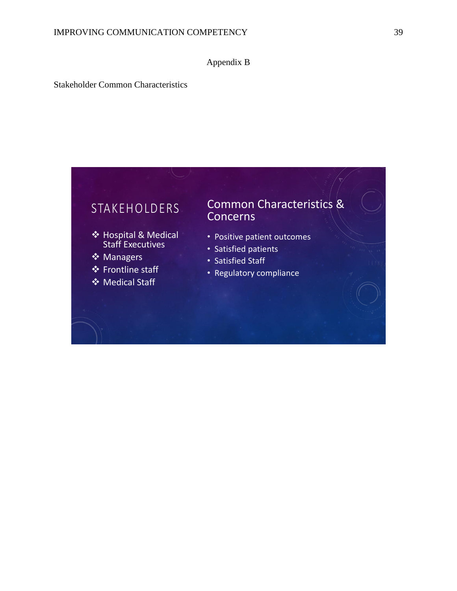## Appendix B

### Stakeholder Common Characteristics

- ◆ Hospital & Medical Staff Executives
- v Managers
- ❖ Frontline staff
- ◆ Medical Staff

## STAKEHOLDERS Common Characteristics & **Concerns**

- Positive patient outcomes
- Satisfied patients
- Satisfied Staff
- Regulatory compliance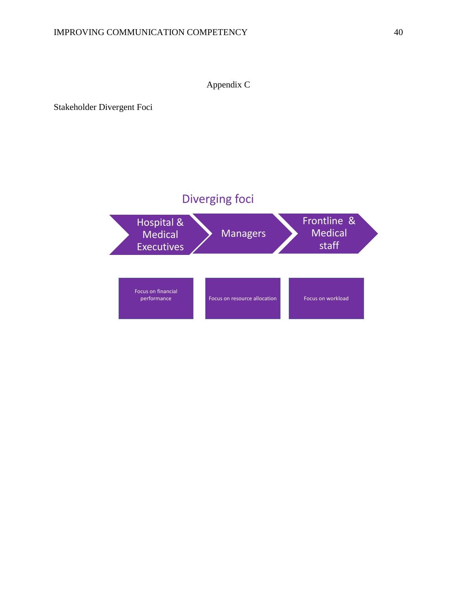Appendix C

Stakeholder Divergent Foci

## Diverging foci

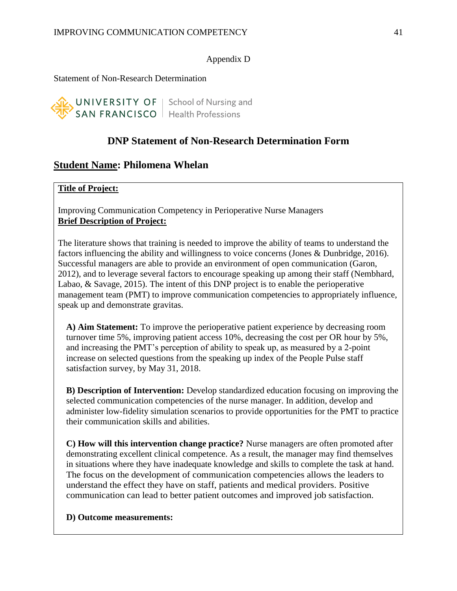### Appendix D

### Statement of Non-Research Determination

UNIVERSITY OF | School of Nursing and<br>SAN FRANCISCO | Health Professions

### **DNP Statement of Non-Research Determination Form**

### **Student Name: Philomena Whelan**

### **Title of Project:**

Improving Communication Competency in Perioperative Nurse Managers **Brief Description of Project:**

The literature shows that training is needed to improve the ability of teams to understand the factors influencing the ability and willingness to voice concerns (Jones & Dunbridge, 2016). Successful managers are able to provide an environment of open communication (Garon, 2012), and to leverage several factors to encourage speaking up among their staff (Nembhard, Labao, & Savage, 2015). The intent of this DNP project is to enable the perioperative management team (PMT) to improve communication competencies to appropriately influence, speak up and demonstrate gravitas.

**A) Aim Statement:** To improve the perioperative patient experience by decreasing room turnover time 5%, improving patient access 10%, decreasing the cost per OR hour by 5%, and increasing the PMT's perception of ability to speak up, as measured by a 2-point increase on selected questions from the speaking up index of the People Pulse staff satisfaction survey, by May 31, 2018.

**B) Description of Intervention:** Develop standardized education focusing on improving the selected communication competencies of the nurse manager. In addition, develop and administer low-fidelity simulation scenarios to provide opportunities for the PMT to practice their communication skills and abilities.

**C) How will this intervention change practice?** Nurse managers are often promoted after demonstrating excellent clinical competence. As a result, the manager may find themselves in situations where they have inadequate knowledge and skills to complete the task at hand. The focus on the development of communication competencies allows the leaders to understand the effect they have on staff, patients and medical providers. Positive communication can lead to better patient outcomes and improved job satisfaction.

### **D) Outcome measurements:**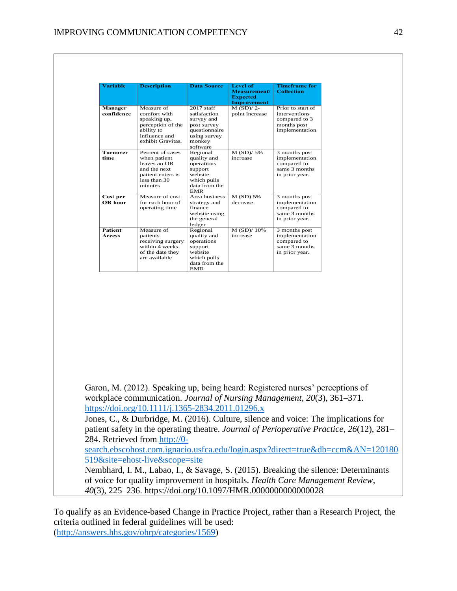| <b>Variable</b>                 | <b>Description</b>                                                                                                 | <b>Data Source</b>                                                                                               | <b>Level of</b><br>Measurement/<br><b>Expected</b><br><b>Improvement</b> | <b>Timeframe for</b><br><b>Collection</b>                                            |  |
|---------------------------------|--------------------------------------------------------------------------------------------------------------------|------------------------------------------------------------------------------------------------------------------|--------------------------------------------------------------------------|--------------------------------------------------------------------------------------|--|
| Manager<br>confidence           | Measure of<br>comfort with<br>speaking up,<br>perception of the<br>ability to<br>influence and<br>exhibit Gravitas | $2017$ staff<br>satisfaction<br>survey and<br>post survey<br>questionnaire<br>using survey<br>monkey<br>software | $M(SD)/2$ -<br>point increase                                            | Prior to start of<br>interventions<br>compared to 3<br>months post<br>implementation |  |
| <b>Turnover</b><br>time         | Percent of cases<br>when patient<br>leaves an OR<br>and the next<br>patient enters is<br>less than 30<br>minutes   | Regional<br>quality and<br>operations<br>support<br>website<br>which pulls<br>data from the<br><b>EMR</b>        | M (SD)/ 5%<br>increase                                                   | 3 months post<br>implementation<br>compared to<br>same 3 months<br>in prior year.    |  |
| Cost per<br><b>OR</b> hour      | Measure of cost<br>for each hour of<br>operating time                                                              | Area business<br>strategy and<br>finance<br>website using<br>the general<br>ledger                               | M (SD) 5%<br>decrease                                                    | 3 months post<br>implementation<br>compared to<br>same 3 months<br>in prior year.    |  |
| <b>Patient</b><br><b>Access</b> | Measure of<br>patients<br>receiving surgery<br>within 4 weeks<br>of the date they<br>are available.                | Regional<br>quality and<br>operations<br>support<br>website<br>which pulls<br>data from the<br><b>EMR</b>        | M (SD)/ 10%<br>increase                                                  | 3 months post<br>implementation<br>compared to<br>same 3 months<br>in prior year.    |  |

Garon, M. (2012). Speaking up, being heard: Registered nurses' perceptions of workplace communication. *Journal of Nursing Management*, *20*(3), 361–371. <https://doi.org/10.1111/j.1365-2834.2011.01296.x>

Jones, C., & Durbridge, M. (2016). Culture, silence and voice: The implications for patient safety in the operating theatre. *Journal of Perioperative Practice*, *26*(12), 281– 284. Retrieved from [http://0-](http://0-search.ebscohost.com.ignacio.usfca.edu/login.aspx?direct=true&db=ccm&AN=120180519&site=ehost-live&scope=site)

[search.ebscohost.com.ignacio.usfca.edu/login.aspx?direct=true&db=ccm&AN=120180](http://0-search.ebscohost.com.ignacio.usfca.edu/login.aspx?direct=true&db=ccm&AN=120180519&site=ehost-live&scope=site) [519&site=ehost-live&scope=site](http://0-search.ebscohost.com.ignacio.usfca.edu/login.aspx?direct=true&db=ccm&AN=120180519&site=ehost-live&scope=site)

Nembhard, I. M., Labao, I., & Savage, S. (2015). Breaking the silence: Determinants of voice for quality improvement in hospitals. *Health Care Management Review*, *40*(3), 225–236. https://doi.org/10.1097/HMR.0000000000000028

To qualify as an Evidence-based Change in Practice Project, rather than a Research Project, the criteria outlined in federal guidelines will be used: [\(http://answers.hhs.gov/ohrp/categories/1569\)](http://answers.hhs.gov/ohrp/categories/1569)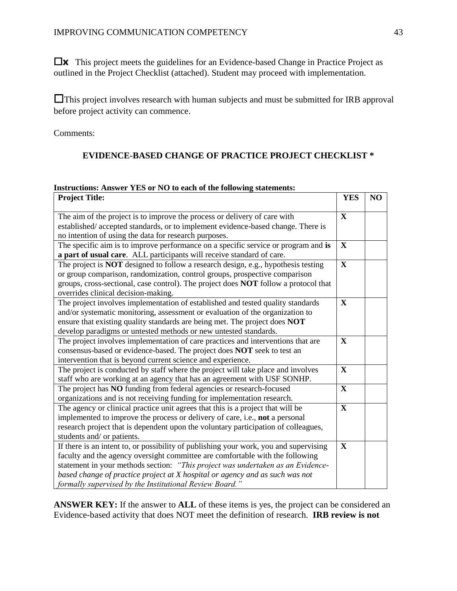☐**x** This project meets the guidelines for an Evidence-based Change in Practice Project as outlined in the Project Checklist (attached). Student may proceed with implementation.

□This project involves research with human subjects and must be submitted for IRB approval before project activity can commence.

Comments:

### **EVIDENCE-BASED CHANGE OF PRACTICE PROJECT CHECKLIST \***

### **Instructions: Answer YES or NO to each of the following statements:**

| <b>Project Title:</b>                                                                                                                                       | <b>YES</b>   | NO |
|-------------------------------------------------------------------------------------------------------------------------------------------------------------|--------------|----|
| The aim of the project is to improve the process or delivery of care with                                                                                   | $\mathbf{X}$ |    |
| established/accepted standards, or to implement evidence-based change. There is                                                                             |              |    |
| no intention of using the data for research purposes.                                                                                                       |              |    |
| The specific aim is to improve performance on a specific service or program and is<br>a part of usual care. ALL participants will receive standard of care. | $\mathbf{X}$ |    |
| The project is <b>NOT</b> designed to follow a research design, e.g., hypothesis testing                                                                    | $\mathbf{X}$ |    |
| or group comparison, randomization, control groups, prospective comparison                                                                                  |              |    |
| groups, cross-sectional, case control). The project does NOT follow a protocol that                                                                         |              |    |
| overrides clinical decision-making.                                                                                                                         |              |    |
| The project involves implementation of established and tested quality standards                                                                             | $\mathbf{X}$ |    |
| and/or systematic monitoring, assessment or evaluation of the organization to                                                                               |              |    |
| ensure that existing quality standards are being met. The project does NOT                                                                                  |              |    |
| develop paradigms or untested methods or new untested standards.                                                                                            |              |    |
| The project involves implementation of care practices and interventions that are                                                                            | $\mathbf{X}$ |    |
| consensus-based or evidence-based. The project does NOT seek to test an                                                                                     |              |    |
| intervention that is beyond current science and experience.                                                                                                 |              |    |
| The project is conducted by staff where the project will take place and involves                                                                            | $\mathbf{X}$ |    |
| staff who are working at an agency that has an agreement with USF SONHP.                                                                                    |              |    |
| The project has NO funding from federal agencies or research-focused                                                                                        | $\mathbf{X}$ |    |
| organizations and is not receiving funding for implementation research.                                                                                     |              |    |
| The agency or clinical practice unit agrees that this is a project that will be                                                                             | $\mathbf{X}$ |    |
| implemented to improve the process or delivery of care, i.e., not a personal                                                                                |              |    |
| research project that is dependent upon the voluntary participation of colleagues,                                                                          |              |    |
| students and/ or patients.                                                                                                                                  |              |    |
| If there is an intent to, or possibility of publishing your work, you and supervising                                                                       | $\mathbf{X}$ |    |
| faculty and the agency oversight committee are comfortable with the following                                                                               |              |    |
| statement in your methods section: "This project was undertaken as an Evidence-                                                                             |              |    |
| based change of practice project at X hospital or agency and as such was not                                                                                |              |    |
| formally supervised by the Institutional Review Board."                                                                                                     |              |    |

**ANSWER KEY:** If the answer to **ALL** of these items is yes, the project can be considered an Evidence-based activity that does NOT meet the definition of research. **IRB review is not**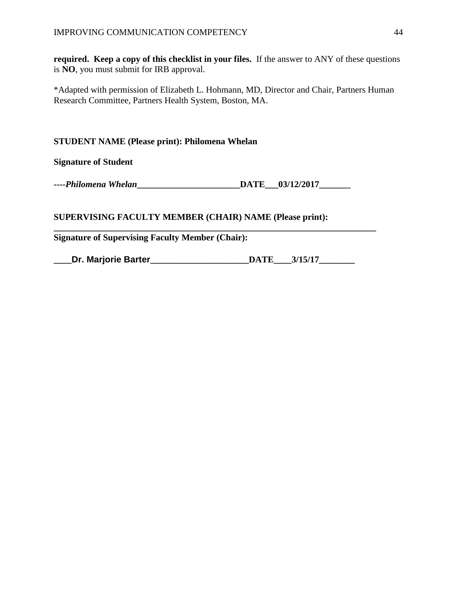**required. Keep a copy of this checklist in your files.** If the answer to ANY of these questions is **NO**, you must submit for IRB approval.

\*Adapted with permission of Elizabeth L. Hohmann, MD, Director and Chair, Partners Human Research Committee, Partners Health System, Boston, MA.

### **STUDENT NAME (Please print): Philomena Whelan**

**Signature of Student**

**----***Philomena Whelan***\_\_\_\_\_\_\_\_\_\_\_\_\_\_\_\_\_\_\_\_\_\_\_DATE\_\_\_03/12/2017\_\_\_\_\_\_\_** 

### **SUPERVISING FACULTY MEMBER (CHAIR) NAME (Please print):**

**Signature of Supervising Faculty Member (Chair):**

**\_\_\_\_Dr. Marjorie Barter\_\_\_\_\_\_\_\_\_\_\_\_\_\_\_\_\_\_\_\_\_\_DATE\_\_\_\_3/15/17\_\_\_\_\_\_\_\_**

**\_\_\_\_\_\_\_\_\_\_\_\_\_\_\_\_\_\_\_\_\_\_\_\_\_\_\_\_\_\_\_\_\_\_\_\_\_\_\_\_\_\_\_\_\_\_\_\_\_\_\_\_\_\_\_\_\_\_\_\_\_\_\_\_\_\_\_\_\_\_\_\_**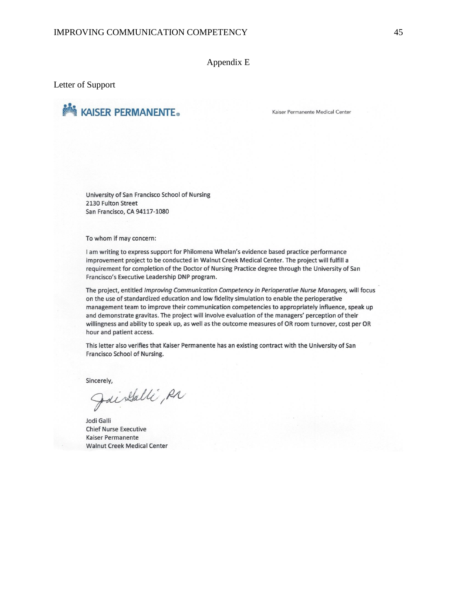Appendix E

### Letter of Support

# **Note ALISER PERMANENTE.**

Kaiser Permanente Medical Center

University of San Francisco School of Nursing 2130 Fulton Street San Francisco, CA 94117-1080

To whom if may concern:

I am writing to express support for Philomena Whelan's evidence based practice performance improvement project to be conducted in Walnut Creek Medical Center. The project will fulfill a requirement for completion of the Doctor of Nursing Practice degree through the University of San Francisco's Executive Leadership DNP program.

The project, entitled Improving Communication Competency in Perioperative Nurse Managers, will focus on the use of standardized education and low fidelity simulation to enable the perioperative management team to improve their communication competencies to appropriately influence, speak up and demonstrate gravitas. The project will involve evaluation of the managers' perception of their willingness and ability to speak up, as well as the outcome measures of OR room turnover, cost per OR hour and patient access.

This letter also verifies that Kaiser Permanente has an existing contract with the University of San Francisco School of Nursing.

Sincerely,

Jai Salli, Pr

Jodi Galli **Chief Nurse Executive** Kaiser Permanente **Walnut Creek Medical Center**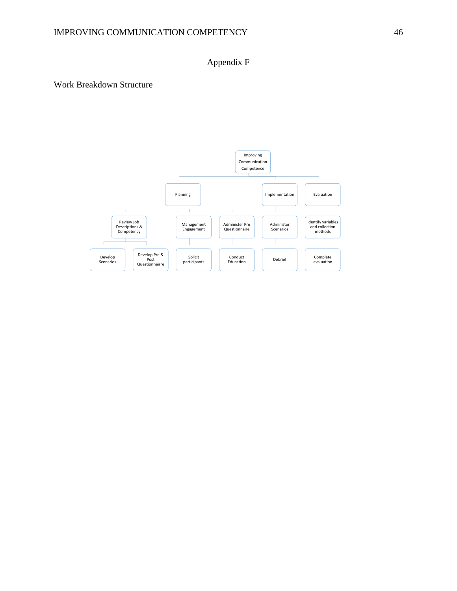Appendix F

### Work Breakdown Structure

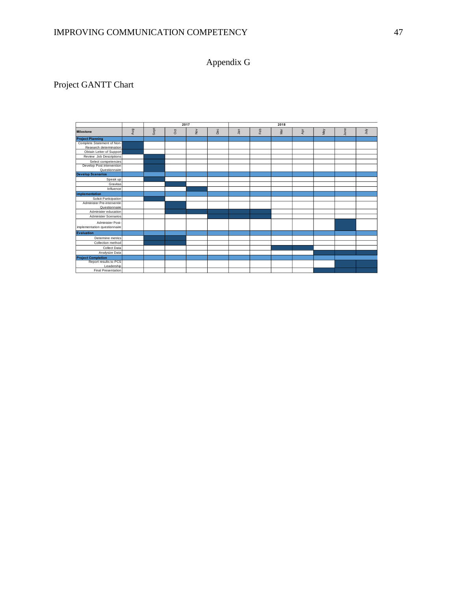Appendix G

## Project GANTT Chart

|                              |     |      | 2017 |               |     | 2018 |     |    |    |     |      |      |
|------------------------------|-----|------|------|---------------|-----|------|-----|----|----|-----|------|------|
| <b>Milestone</b>             | Aug | Sept | ð    | $\frac{5}{2}$ | Dec | ۵g.  | Feb | Δã | ξĒ | May | June | -sin |
| <b>Project Planning</b>      |     |      |      |               |     |      |     |    |    |     |      |      |
| Complete Statement of Non-   |     |      |      |               |     |      |     |    |    |     |      |      |
| Research determination       |     |      |      |               |     |      |     |    |    |     |      |      |
| Obtain Letter of Support     |     |      |      |               |     |      |     |    |    |     |      |      |
| Review Job Descriptions      |     |      |      |               |     |      |     |    |    |     |      |      |
| Select competencies          |     |      |      |               |     |      |     |    |    |     |      |      |
| Develop Post intervention    |     |      |      |               |     |      |     |    |    |     |      |      |
| Questionnaire                |     |      |      |               |     |      |     |    |    |     |      |      |
| <b>Develop Scenarios</b>     |     |      |      |               |     |      |     |    |    |     |      |      |
| Speak up                     |     |      |      |               |     |      |     |    |    |     |      |      |
| Gravitas                     |     |      |      |               |     |      |     |    |    |     |      |      |
| Influence                    |     |      |      |               |     |      |     |    |    |     |      |      |
| implementation               |     |      |      |               |     |      |     |    |    |     |      |      |
| Solicit Participation        |     |      |      |               |     |      |     |    |    |     |      |      |
| Administer Pre-interventin   |     |      |      |               |     |      |     |    |    |     |      |      |
| Questionnaire                |     |      |      |               |     |      |     |    |    |     |      |      |
| Administer education         |     |      |      |               |     |      |     |    |    |     |      |      |
| Administer Scenarios         |     |      |      |               |     |      |     |    |    |     |      |      |
| Administer Post-             |     |      |      |               |     |      |     |    |    |     |      |      |
| implementation questionnaire |     |      |      |               |     |      |     |    |    |     |      |      |
| <b>Evaluation</b>            |     |      |      |               |     |      |     |    |    |     |      |      |
| Determine metrics            |     |      |      |               |     |      |     |    |    |     |      |      |
| Collection method            |     |      |      |               |     |      |     |    |    |     |      |      |
| <b>Collect Data</b>          |     |      |      |               |     |      |     |    |    |     |      |      |
| Analysize Data               |     |      |      |               |     |      |     |    |    |     |      |      |
| <b>Project Completion</b>    |     |      |      |               |     |      |     |    |    |     |      |      |
| Report results to PCS        |     |      |      |               |     |      |     |    |    |     |      |      |
| Leadership                   |     |      |      |               |     |      |     |    |    |     |      |      |
| <b>Final Presentation</b>    |     |      |      |               |     |      |     |    |    |     |      |      |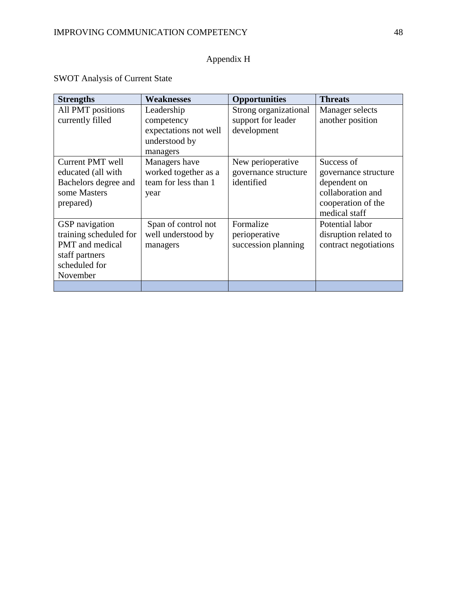## Appendix H

SWOT Analysis of Current State

| <b>Strengths</b>                                                                                                         | <b>Weaknesses</b>                                                              | <b>Opportunities</b>                                       | <b>Threats</b>                                                                                                 |
|--------------------------------------------------------------------------------------------------------------------------|--------------------------------------------------------------------------------|------------------------------------------------------------|----------------------------------------------------------------------------------------------------------------|
| All PMT positions<br>currently filled                                                                                    | Leadership<br>competency<br>expectations not well<br>understood by<br>managers | Strong organizational<br>support for leader<br>development | Manager selects<br>another position                                                                            |
| Current PMT well<br>educated (all with<br>Bachelors degree and<br>some Masters<br>prepared)                              | Managers have<br>worked together as a<br>team for less than 1<br>year          | New perioperative<br>governance structure<br>identified    | Success of<br>governance structure<br>dependent on<br>collaboration and<br>cooperation of the<br>medical staff |
| <b>GSP</b> navigation<br>training scheduled for<br><b>PMT</b> and medical<br>staff partners<br>scheduled for<br>November | Span of control not<br>well understood by<br>managers                          | Formalize<br>perioperative<br>succession planning          | Potential labor<br>disruption related to<br>contract negotiations                                              |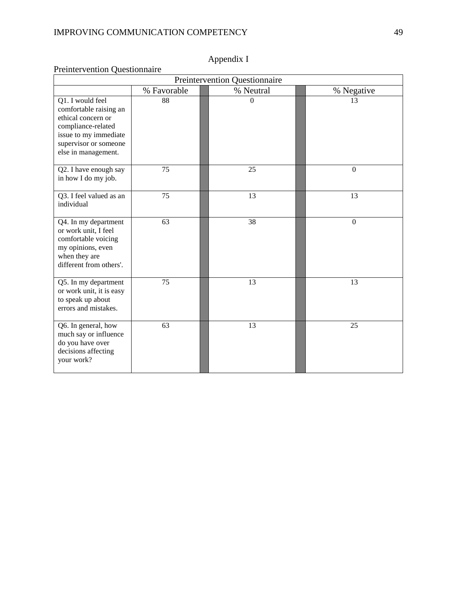## IMPROVING COMMUNICATION COMPETENCY 49

| Preintervention Questionnaire<br><b>Preintervention Questionnaire</b>                                                                                           |                 |           |                  |  |  |  |
|-----------------------------------------------------------------------------------------------------------------------------------------------------------------|-----------------|-----------|------------------|--|--|--|
|                                                                                                                                                                 | % Favorable     | % Neutral |                  |  |  |  |
| Q1. I would feel<br>comfortable raising an<br>ethical concern or<br>compliance-related<br>issue to my immediate<br>supervisor or someone<br>else in management. | 88              | $\Omega$  | % Negative<br>13 |  |  |  |
| Q2. I have enough say<br>in how I do my job.                                                                                                                    | 75              | 25        | $\overline{0}$   |  |  |  |
| Q3. I feel valued as an<br>individual                                                                                                                           | $\overline{75}$ | 13        | 13               |  |  |  |
| Q4. In my department<br>or work unit, I feel<br>comfortable voicing<br>my opinions, even<br>when they are<br>different from others'.                            | 63              | 38        | $\mathbf{0}$     |  |  |  |
| Q5. In my department<br>or work unit, it is easy<br>to speak up about<br>errors and mistakes.                                                                   | 75              | 13        | 13               |  |  |  |
| Q6. In general, how<br>much say or influence<br>do you have over<br>decisions affecting<br>your work?                                                           | 63              | 13        | 25               |  |  |  |

## Appendix I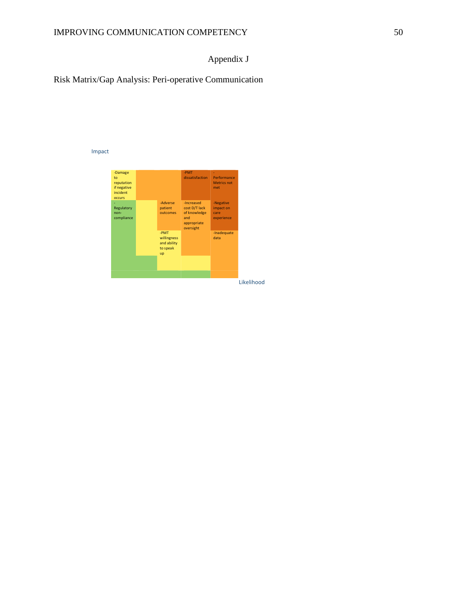## Appendix J

Risk Matrix/Gap Analysis: Peri-operative Communication

Impact

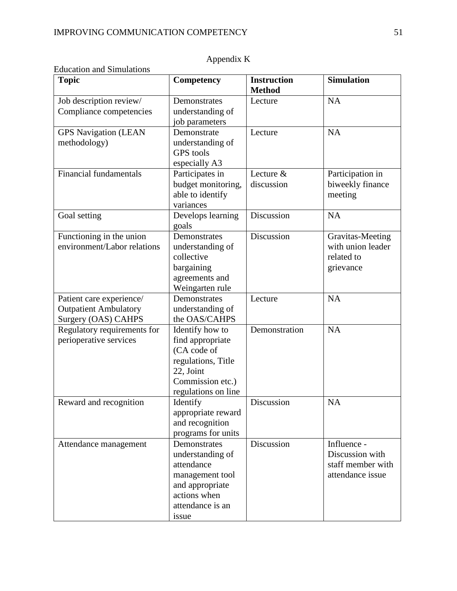| <b>Topic</b>                                                                    | Competency                                                                                                                        | <b>Instruction</b><br><b>Method</b> | <b>Simulation</b>                                                       |
|---------------------------------------------------------------------------------|-----------------------------------------------------------------------------------------------------------------------------------|-------------------------------------|-------------------------------------------------------------------------|
| Job description review/<br>Compliance competencies                              | Demonstrates<br>understanding of<br>job parameters                                                                                | Lecture                             | <b>NA</b>                                                               |
| <b>GPS Navigation (LEAN</b><br>methodology)                                     | Demonstrate<br>understanding of<br><b>GPS</b> tools<br>especially A3                                                              | Lecture                             | <b>NA</b>                                                               |
| <b>Financial fundamentals</b>                                                   | Participates in<br>budget monitoring,<br>able to identify<br>variances                                                            | Lecture &<br>discussion             | Participation in<br>biweekly finance<br>meeting                         |
| Goal setting                                                                    | Develops learning<br>goals                                                                                                        | Discussion                          | <b>NA</b>                                                               |
| Functioning in the union<br>environment/Labor relations                         | Demonstrates<br>understanding of<br>collective<br>bargaining<br>agreements and<br>Weingarten rule                                 | Discussion                          | Gravitas-Meeting<br>with union leader<br>related to<br>grievance        |
| Patient care experience/<br><b>Outpatient Ambulatory</b><br>Surgery (OAS) CAHPS | Demonstrates<br>understanding of<br>the OAS/CAHPS                                                                                 | Lecture                             | <b>NA</b>                                                               |
| Regulatory requirements for<br>perioperative services                           | Identify how to<br>find appropriate<br>(CA code of<br>regulations, Title<br>22, Joint<br>Commission etc.)<br>regulations on line  | Demonstration                       | <b>NA</b>                                                               |
| Reward and recognition                                                          | Identify<br>appropriate reward<br>and recognition<br>programs for units                                                           | Discussion                          | NA                                                                      |
| Attendance management                                                           | Demonstrates<br>understanding of<br>attendance<br>management tool<br>and appropriate<br>actions when<br>attendance is an<br>issue | Discussion                          | Influence -<br>Discussion with<br>staff member with<br>attendance issue |

## Appendix K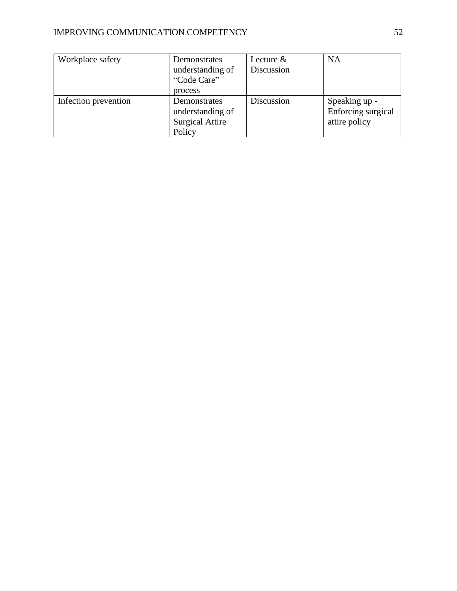## IMPROVING COMMUNICATION COMPETENCY 52

| Workplace safety     | Demonstrates           | Lecture $&$ | <b>NA</b>          |
|----------------------|------------------------|-------------|--------------------|
|                      | understanding of       | Discussion  |                    |
|                      | "Code Care"            |             |                    |
|                      | process                |             |                    |
| Infection prevention | Demonstrates           | Discussion  | Speaking up -      |
|                      | understanding of       |             | Enforcing surgical |
|                      | <b>Surgical Attire</b> |             | attire policy      |
|                      | Policy                 |             |                    |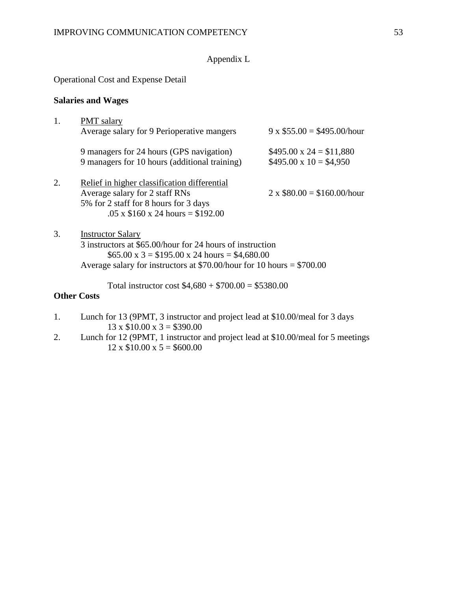## Appendix L

Operational Cost and Expense Detail

## **Salaries and Wages**

| 1.                 | <b>PMT</b> salary<br>Average salary for 9 Perioperative mangers                                                                                                                                                                     | $9 \times $55.00 = $495.00/h$ our                             |
|--------------------|-------------------------------------------------------------------------------------------------------------------------------------------------------------------------------------------------------------------------------------|---------------------------------------------------------------|
|                    | 9 managers for 24 hours (GPS navigation)<br>9 managers for 10 hours (additional training)                                                                                                                                           | $$495.00 \times 24 = $11,880$<br>$$495.00 \times 10 = $4,950$ |
| 2.                 | Relief in higher classification differential<br>Average salary for 2 staff RNs<br>5% for 2 staff for 8 hours for 3 days<br>$.05 \times$ \$160 x 24 hours = \$192.00                                                                 | $2 \times $80.00 = $160.00/h$ our                             |
| 3.                 | <b>Instructor Salary</b><br>3 instructors at \$65.00/hour for 24 hours of instruction<br>$$65.00 \times 3 = $195.00 \times 24 \text{ hours} = $4,680.00$<br>Average salary for instructors at \$70.00/hour for 10 hours = $$700.00$ |                                                               |
| <b>Other Costs</b> | Total instructor cost $$4,680 + $700.00 = $5380.00$                                                                                                                                                                                 |                                                               |

- 1. Lunch for 13 (9PMT, 3 instructor and project lead at \$10.00/meal for 3 days  $13 \times $10.00 \times 3 = $390.00$
- 2. Lunch for 12 (9PMT, 1 instructor and project lead at \$10.00/meal for 5 meetings  $12 \times \$10.00 \times 5 = \$600.00$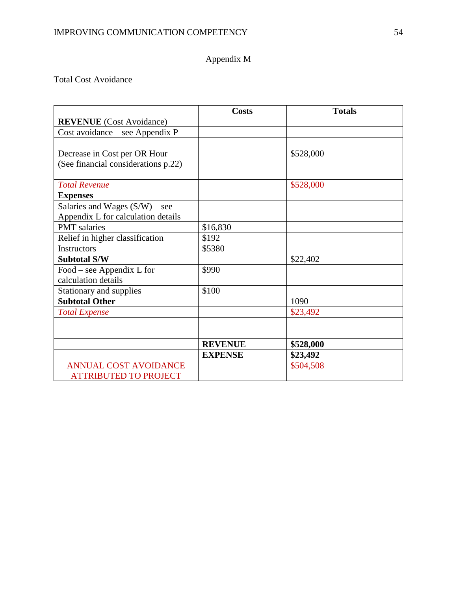## Appendix M

## Total Cost Avoidance

|                                     | <b>Costs</b>   | <b>Totals</b> |
|-------------------------------------|----------------|---------------|
| <b>REVENUE</b> (Cost Avoidance)     |                |               |
| Cost avoidance – see Appendix P     |                |               |
|                                     |                |               |
| Decrease in Cost per OR Hour        |                | \$528,000     |
| (See financial considerations p.22) |                |               |
|                                     |                |               |
| <b>Total Revenue</b>                |                | \$528,000     |
| <b>Expenses</b>                     |                |               |
| Salaries and Wages $(S/W)$ – see    |                |               |
| Appendix L for calculation details  |                |               |
| <b>PMT</b> salaries                 | \$16,830       |               |
| Relief in higher classification     | \$192          |               |
| <b>Instructors</b>                  | \$5380         |               |
| <b>Subtotal S/W</b>                 |                | \$22,402      |
| Food – see Appendix L for           | \$990          |               |
| calculation details                 |                |               |
| Stationary and supplies             | \$100          |               |
| <b>Subtotal Other</b>               |                | 1090          |
| <b>Total Expense</b>                |                | \$23,492      |
|                                     |                |               |
|                                     |                |               |
|                                     | <b>REVENUE</b> | \$528,000     |
|                                     | <b>EXPENSE</b> | \$23,492      |
| <b>ANNUAL COST AVOIDANCE</b>        |                | \$504,508     |
| <b>ATTRIBUTED TO PROJECT</b>        |                |               |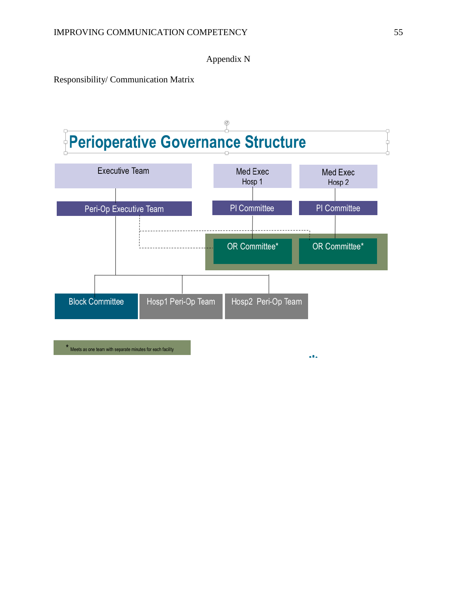Appendix N

Responsibility/ Communication Matrix

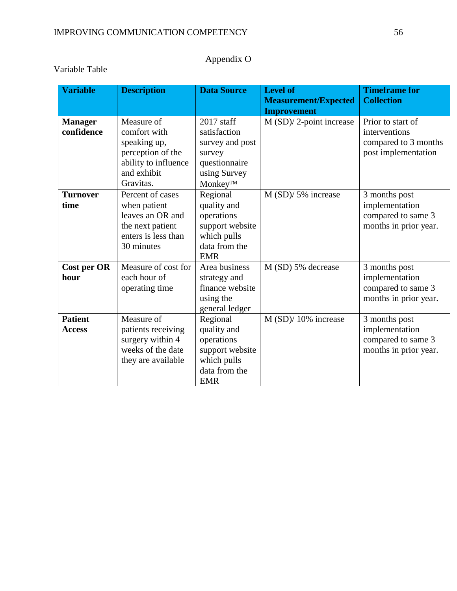## Appendix O

## Variable Table

| <b>Variable</b>                 | <b>Description</b>                                                                                                  | <b>Data Source</b>                                                                                     | <b>Level of</b><br><b>Measurement/Expected</b><br><b>Improvement</b> | <b>Timeframe for</b><br><b>Collection</b>                                         |
|---------------------------------|---------------------------------------------------------------------------------------------------------------------|--------------------------------------------------------------------------------------------------------|----------------------------------------------------------------------|-----------------------------------------------------------------------------------|
| <b>Manager</b><br>confidence    | Measure of<br>comfort with<br>speaking up,<br>perception of the<br>ability to influence<br>and exhibit<br>Gravitas. | $2017$ staff<br>satisfaction<br>survey and post<br>survey<br>questionnaire<br>using Survey<br>Monkey™  | M (SD)/2-point increase                                              | Prior to start of<br>interventions<br>compared to 3 months<br>post implementation |
| <b>Turnover</b><br>time         | Percent of cases<br>when patient<br>leaves an OR and<br>the next patient<br>enters is less than<br>30 minutes       | Regional<br>quality and<br>operations<br>support website<br>which pulls<br>data from the<br><b>EMR</b> | M (SD)/ 5% increase                                                  | 3 months post<br>implementation<br>compared to same 3<br>months in prior year.    |
| Cost per OR<br>hour             | Measure of cost for<br>each hour of<br>operating time                                                               | Area business<br>strategy and<br>finance website<br>using the<br>general ledger                        | M (SD) 5% decrease                                                   | 3 months post<br>implementation<br>compared to same 3<br>months in prior year.    |
| <b>Patient</b><br><b>Access</b> | Measure of<br>patients receiving<br>surgery within 4<br>weeks of the date<br>they are available                     | Regional<br>quality and<br>operations<br>support website<br>which pulls<br>data from the<br><b>EMR</b> | M (SD)/10% increase                                                  | 3 months post<br>implementation<br>compared to same 3<br>months in prior year.    |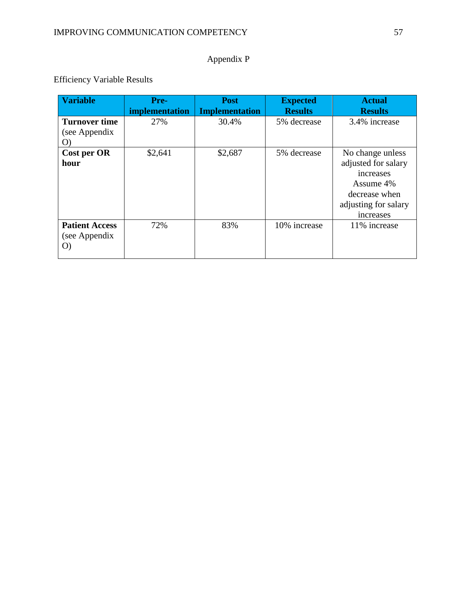## Appendix P

## Efficiency Variable Results

| <b>Variable</b>                               | Pre-<br><i>implementation</i> | <b>Post</b><br><b>Implementation</b> | <b>Expected</b><br><b>Results</b> | <b>Actual</b><br><b>Results</b>                                                                                         |
|-----------------------------------------------|-------------------------------|--------------------------------------|-----------------------------------|-------------------------------------------------------------------------------------------------------------------------|
| <b>Turnover time</b><br>(see Appendix)<br>O   | 27%                           | 30.4%                                | 5% decrease                       | 3.4% increase                                                                                                           |
| Cost per OR<br>hour                           | \$2,641                       | \$2,687                              | 5% decrease                       | No change unless<br>adjusted for salary<br>increases<br>Assume 4%<br>decrease when<br>adjusting for salary<br>increases |
| <b>Patient Access</b><br>(see Appendix)<br>O) | 72%                           | 83%                                  | 10% increase                      | 11% increase                                                                                                            |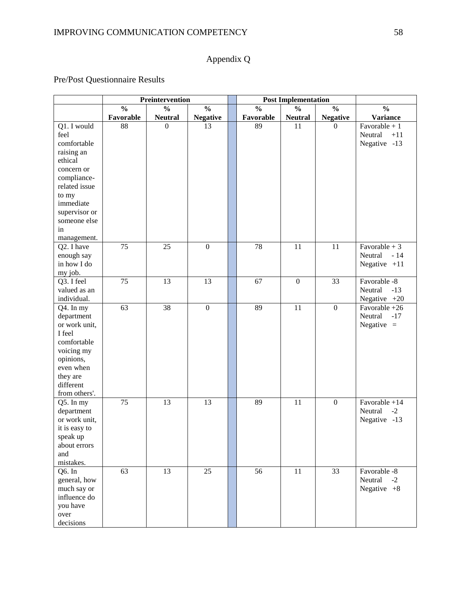## Appendix Q

## Pre/Post Questionnaire Results

|               |               | Preintervention |                  |                          | <b>Post Implementation</b> |                          |                  |
|---------------|---------------|-----------------|------------------|--------------------------|----------------------------|--------------------------|------------------|
|               | $\frac{0}{0}$ | $\frac{0}{0}$   | $\frac{0}{0}$    | $\overline{\frac{0}{0}}$ | $\frac{0}{0}$              | $\overline{\frac{0}{0}}$ | $\frac{0}{0}$    |
|               | Favorable     | <b>Neutral</b>  | <b>Negative</b>  | Favorable                | <b>Neutral</b>             | <b>Negative</b>          | <b>Variance</b>  |
| Q1. I would   | 88            | $\overline{0}$  | 13               | 89                       | 11                         | $\overline{0}$           | Favorable $+1$   |
| feel          |               |                 |                  |                          |                            |                          | Neutral<br>$+11$ |
| comfortable   |               |                 |                  |                          |                            |                          | Negative -13     |
| raising an    |               |                 |                  |                          |                            |                          |                  |
| ethical       |               |                 |                  |                          |                            |                          |                  |
| concern or    |               |                 |                  |                          |                            |                          |                  |
| compliance-   |               |                 |                  |                          |                            |                          |                  |
| related issue |               |                 |                  |                          |                            |                          |                  |
| to my         |               |                 |                  |                          |                            |                          |                  |
| immediate     |               |                 |                  |                          |                            |                          |                  |
| supervisor or |               |                 |                  |                          |                            |                          |                  |
| someone else  |               |                 |                  |                          |                            |                          |                  |
| in            |               |                 |                  |                          |                            |                          |                  |
| management.   |               |                 |                  |                          |                            |                          |                  |
| Q2. I have    | 75            | 25              | $\boldsymbol{0}$ | $78\,$                   | $11\,$                     | 11                       | Favorable $+3$   |
| enough say    |               |                 |                  |                          |                            |                          | Neutral<br>$-14$ |
| in how I do   |               |                 |                  |                          |                            |                          | Negative $+11$   |
| my job.       |               |                 |                  |                          |                            |                          |                  |
| Q3. I feel    | 75            | 13              | 13               | 67                       | $\boldsymbol{0}$           | 33                       | Favorable -8     |
| valued as an  |               |                 |                  |                          |                            |                          | Neutral<br>$-13$ |
| individual.   |               |                 |                  |                          |                            |                          | Negative $+20$   |
| Q4. In my     | 63            | 38              | $\mathbf{0}$     | 89                       | 11                         | $\boldsymbol{0}$         | Favorable $+26$  |
| department    |               |                 |                  |                          |                            |                          | Neutral<br>$-17$ |
| or work unit, |               |                 |                  |                          |                            |                          | Negative $=$     |
| I feel        |               |                 |                  |                          |                            |                          |                  |
| comfortable   |               |                 |                  |                          |                            |                          |                  |
| voicing my    |               |                 |                  |                          |                            |                          |                  |
| opinions,     |               |                 |                  |                          |                            |                          |                  |
| even when     |               |                 |                  |                          |                            |                          |                  |
| they are      |               |                 |                  |                          |                            |                          |                  |
| different     |               |                 |                  |                          |                            |                          |                  |
| from others'. |               |                 |                  |                          |                            |                          |                  |
| Q5. In my     | 75            | 13              | 13               | 89                       | 11                         | $\boldsymbol{0}$         | Favorable +14    |
| department    |               |                 |                  |                          |                            |                          | Neutral<br>$-2$  |
| or work unit, |               |                 |                  |                          |                            |                          | Negative -13     |
| it is easy to |               |                 |                  |                          |                            |                          |                  |
| speak up      |               |                 |                  |                          |                            |                          |                  |
| about errors  |               |                 |                  |                          |                            |                          |                  |
| and           |               |                 |                  |                          |                            |                          |                  |
| mistakes.     |               |                 |                  |                          |                            |                          |                  |
| Q6. In        | 63            | 13              | 25               | 56                       | $11\,$                     | 33                       | Favorable -8     |
| general, how  |               |                 |                  |                          |                            |                          | Neutral<br>$-2$  |
| much say or   |               |                 |                  |                          |                            |                          | Negative $+8$    |
| influence do  |               |                 |                  |                          |                            |                          |                  |
| you have      |               |                 |                  |                          |                            |                          |                  |
| over          |               |                 |                  |                          |                            |                          |                  |
| decisions     |               |                 |                  |                          |                            |                          |                  |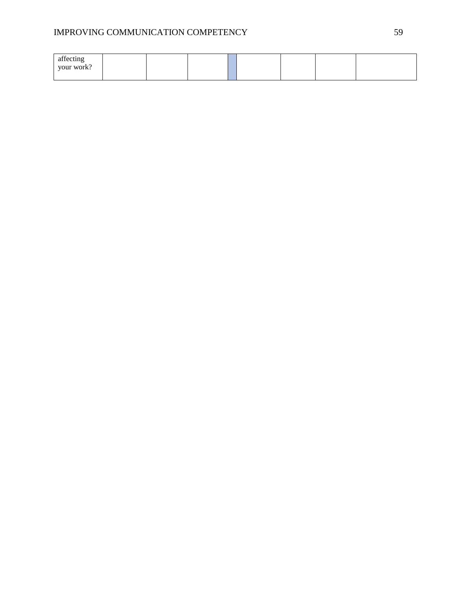## IMPROVING COMMUNICATION COMPETENCY 59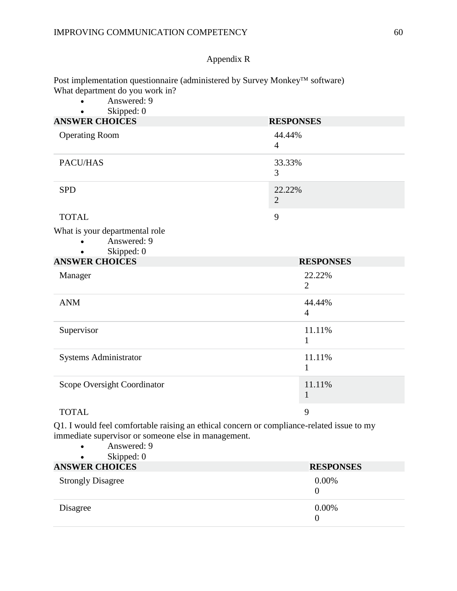## Appendix R

Post implementation questionnaire (administered by Survey Monkey<sup>™</sup> software) What department do you work in?

| Answered: 9<br>Skipped: 0                                   |                          |
|-------------------------------------------------------------|--------------------------|
| <b>ANSWER CHOICES</b>                                       | <b>RESPONSES</b>         |
| <b>Operating Room</b>                                       | 44.44%<br>$\overline{4}$ |
| PACU/HAS                                                    | 33.33%<br>3              |
| <b>SPD</b>                                                  | 22.22%<br>$\overline{2}$ |
| <b>TOTAL</b>                                                | 9                        |
| What is your departmental role<br>Answered: 9<br>Skipped: 0 |                          |
| <b>ANSWER CHOICES</b>                                       | <b>RESPONSES</b>         |
| Manager                                                     | 22.22%<br>$\overline{2}$ |
| <b>ANM</b>                                                  | 44.44%<br>$\overline{4}$ |
| Supervisor                                                  | 11.11%<br>1              |
| Systems Administrator                                       | 11.11%<br>$\mathbf{1}$   |

### TOTAL 9

Q1. I would feel comfortable raising an ethical concern or compliance-related issue to my immediate supervisor or someone else in management.

Scope Oversight Coordinator 11.11%

• Answered: 9

• Skipped: 0

| <b>ANSWER CHOICES</b>    | <b>RESPONSES</b>     |
|--------------------------|----------------------|
| <b>Strongly Disagree</b> | $0.00\%$<br>$\theta$ |
| Disagree                 | $0.00\%$<br>0        |

1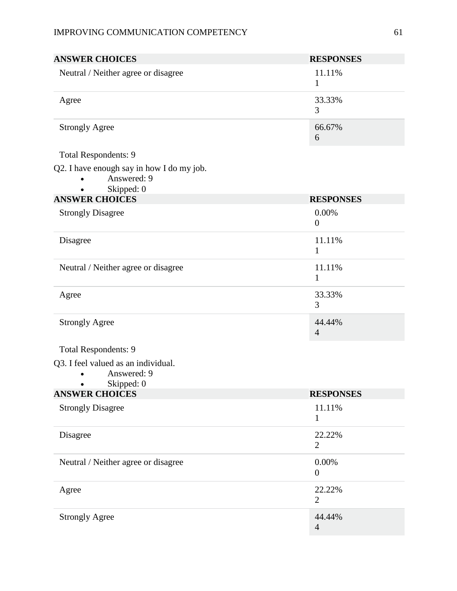## IMPROVING COMMUNICATION COMPETENCY 61

| <b>ANSWER CHOICES</b>                                                                           | <b>RESPONSES</b>          |
|-------------------------------------------------------------------------------------------------|---------------------------|
| Neutral / Neither agree or disagree                                                             | 11.11%<br>1               |
| Agree                                                                                           | 33.33%<br>3               |
| <b>Strongly Agree</b>                                                                           | 66.67%<br>6               |
| <b>Total Respondents: 9</b>                                                                     |                           |
| Q2. I have enough say in how I do my job.<br>Answered: 9<br>Skipped: 0<br><b>ANSWER CHOICES</b> | <b>RESPONSES</b>          |
| <b>Strongly Disagree</b>                                                                        | 0.00%<br>$\boldsymbol{0}$ |
| Disagree                                                                                        | 11.11%<br>$\mathbf{1}$    |
| Neutral / Neither agree or disagree                                                             | 11.11%<br>$\mathbf{1}$    |
| Agree                                                                                           | 33.33%<br>3               |
| <b>Strongly Agree</b>                                                                           | 44.44%<br>$\overline{4}$  |
| <b>Total Respondents: 9</b>                                                                     |                           |
| Q3. I feel valued as an individual.<br>Answered: 9<br>Skipped: 0                                |                           |
| <b>ANSWER CHOICES</b>                                                                           | <b>RESPONSES</b>          |
| <b>Strongly Disagree</b>                                                                        | 11.11%<br>$\mathbf 1$     |
| Disagree                                                                                        | 22.22%<br>$\overline{2}$  |
| Neutral / Neither agree or disagree                                                             | 0.00%<br>$\boldsymbol{0}$ |
| Agree                                                                                           | 22.22%<br>$\overline{2}$  |
| <b>Strongly Agree</b>                                                                           | 44.44%<br>$\overline{4}$  |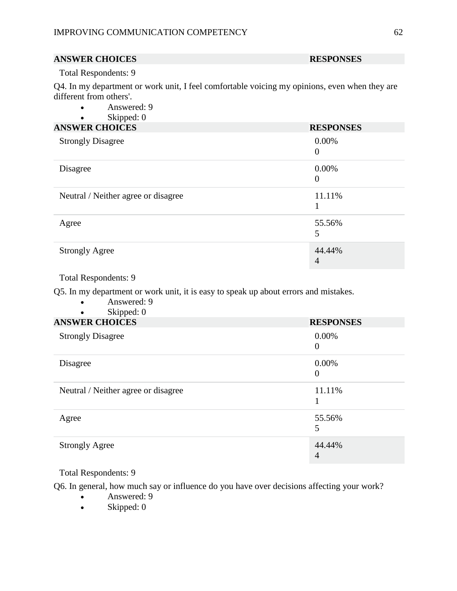### **ANSWER CHOICES RESPONSES**

Total Respondents: 9

Q4. In my department or work unit, I feel comfortable voicing my opinions, even when they are different from others'.

- Answered: 9
- $\bullet$  Skinped $\cdot$  0

| $\sim$ $\sim$ $\sim$ $\sim$ $\sim$<br><b>ANSWER CHOICES</b> | <b>RESPONSES</b>         |
|-------------------------------------------------------------|--------------------------|
| <b>Strongly Disagree</b>                                    | $0.00\%$<br>0            |
| Disagree                                                    | 0.00%<br>0               |
| Neutral / Neither agree or disagree                         | 11.11%                   |
| Agree                                                       | 55.56%<br>5              |
| <b>Strongly Agree</b>                                       | 44.44%<br>$\overline{4}$ |

Total Respondents: 9

Q5. In my department or work unit, it is easy to speak up about errors and mistakes.

- Answered: 9
- Skipped: 0

| $\sim$ $\sim$ $\sim$ $\sim$ $\sim$<br><b>ANSWER CHOICES</b> | <b>RESPONSES</b>           |
|-------------------------------------------------------------|----------------------------|
| <b>Strongly Disagree</b>                                    | $0.00\%$<br>$\overline{0}$ |
| Disagree                                                    | $0.00\%$<br>$\theta$       |
| Neutral / Neither agree or disagree                         | 11.11%                     |
| Agree                                                       | 55.56%<br>5                |
| <b>Strongly Agree</b>                                       | 44.44%<br>4                |

Total Respondents: 9

Q6. In general, how much say or influence do you have over decisions affecting your work?

- Answered: 9
- Skipped: 0